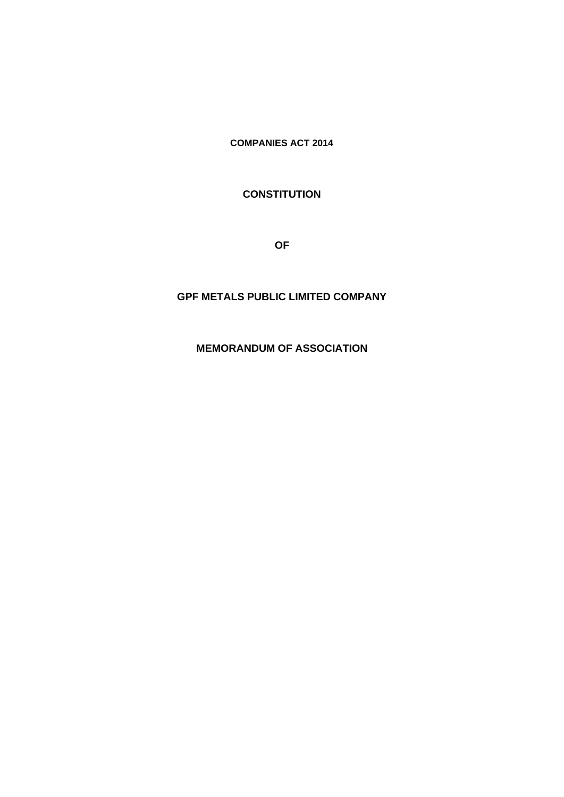**COMPANIES ACT 2014**

# **CONSTITUTION**

**OF**

# **GPF METALS PUBLIC LIMITED COMPANY**

# **MEMORANDUM OF ASSOCIATION**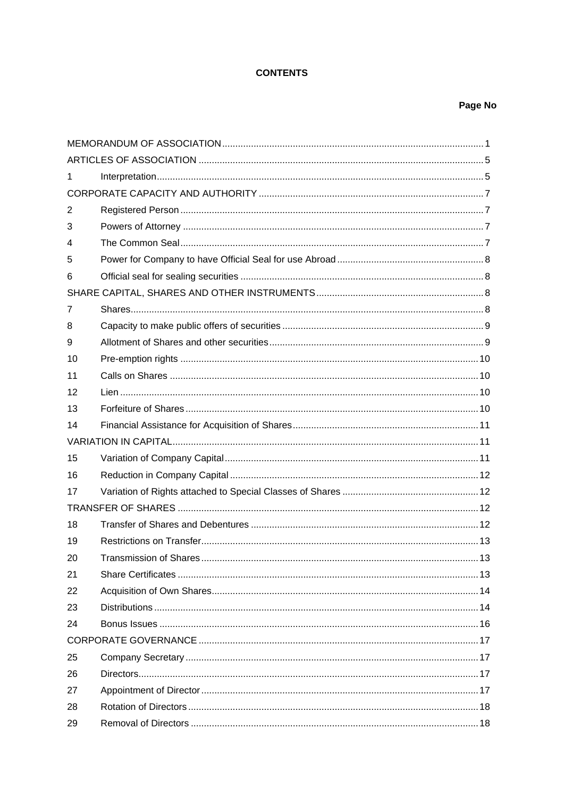# **CONTENTS**

## Page No

| 1              |  |  |  |  |
|----------------|--|--|--|--|
|                |  |  |  |  |
| $\overline{2}$ |  |  |  |  |
| 3              |  |  |  |  |
| 4              |  |  |  |  |
| 5              |  |  |  |  |
| 6              |  |  |  |  |
|                |  |  |  |  |
| 7              |  |  |  |  |
| 8              |  |  |  |  |
| 9              |  |  |  |  |
| 10             |  |  |  |  |
| 11             |  |  |  |  |
| 12             |  |  |  |  |
| 13             |  |  |  |  |
| 14             |  |  |  |  |
|                |  |  |  |  |
| 15             |  |  |  |  |
| 16             |  |  |  |  |
| 17             |  |  |  |  |
|                |  |  |  |  |
|                |  |  |  |  |
| 18             |  |  |  |  |
| 19             |  |  |  |  |
| 20             |  |  |  |  |
| 21             |  |  |  |  |
| 22             |  |  |  |  |
| 23             |  |  |  |  |
| 24             |  |  |  |  |
|                |  |  |  |  |
| 25             |  |  |  |  |
| 26             |  |  |  |  |
| 27             |  |  |  |  |
| 28             |  |  |  |  |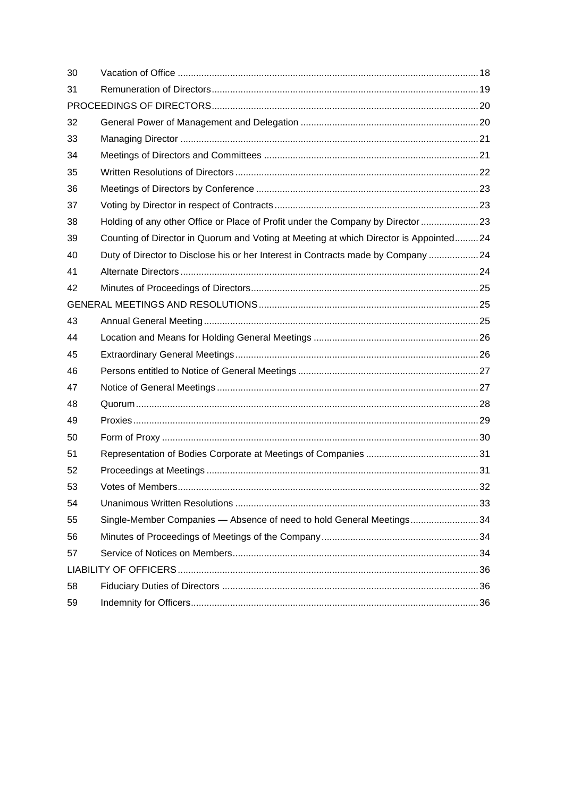| 30 |                                                                                       |  |  |  |  |
|----|---------------------------------------------------------------------------------------|--|--|--|--|
| 31 |                                                                                       |  |  |  |  |
|    |                                                                                       |  |  |  |  |
| 32 |                                                                                       |  |  |  |  |
| 33 |                                                                                       |  |  |  |  |
| 34 |                                                                                       |  |  |  |  |
| 35 |                                                                                       |  |  |  |  |
| 36 |                                                                                       |  |  |  |  |
| 37 |                                                                                       |  |  |  |  |
| 38 | Holding of any other Office or Place of Profit under the Company by Director 23       |  |  |  |  |
| 39 | Counting of Director in Quorum and Voting at Meeting at which Director is Appointed24 |  |  |  |  |
| 40 | Duty of Director to Disclose his or her Interest in Contracts made by Company  24     |  |  |  |  |
| 41 |                                                                                       |  |  |  |  |
| 42 |                                                                                       |  |  |  |  |
|    |                                                                                       |  |  |  |  |
| 43 |                                                                                       |  |  |  |  |
| 44 |                                                                                       |  |  |  |  |
| 45 |                                                                                       |  |  |  |  |
| 46 |                                                                                       |  |  |  |  |
| 47 |                                                                                       |  |  |  |  |
| 48 |                                                                                       |  |  |  |  |
| 49 |                                                                                       |  |  |  |  |
| 50 |                                                                                       |  |  |  |  |
| 51 |                                                                                       |  |  |  |  |
| 52 |                                                                                       |  |  |  |  |
| 53 |                                                                                       |  |  |  |  |
| 54 |                                                                                       |  |  |  |  |
| 55 | Single-Member Companies - Absence of need to hold General Meetings34                  |  |  |  |  |
| 56 |                                                                                       |  |  |  |  |
| 57 |                                                                                       |  |  |  |  |
|    |                                                                                       |  |  |  |  |
| 58 |                                                                                       |  |  |  |  |
| 59 |                                                                                       |  |  |  |  |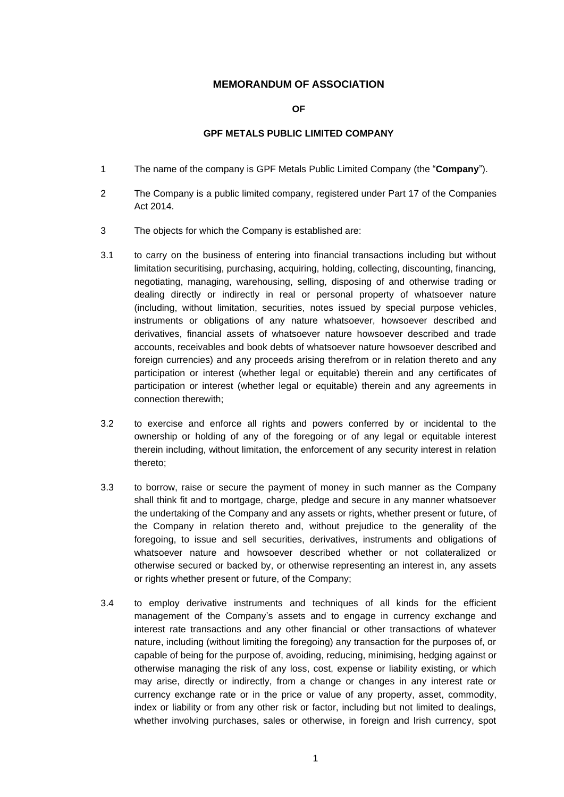### **MEMORANDUM OF ASSOCIATION**

**OF**

#### **GPF METALS PUBLIC LIMITED COMPANY**

- <span id="page-3-0"></span>1 The name of the company is GPF Metals Public Limited Company (the "**Company**").
- 2 The Company is a public limited company, registered under Part 17 of the Companies Act 2014.
- 3 The objects for which the Company is established are:
- 3.1 to carry on the business of entering into financial transactions including but without limitation securitising, purchasing, acquiring, holding, collecting, discounting, financing, negotiating, managing, warehousing, selling, disposing of and otherwise trading or dealing directly or indirectly in real or personal property of whatsoever nature (including, without limitation, securities, notes issued by special purpose vehicles, instruments or obligations of any nature whatsoever, howsoever described and derivatives, financial assets of whatsoever nature howsoever described and trade accounts, receivables and book debts of whatsoever nature howsoever described and foreign currencies) and any proceeds arising therefrom or in relation thereto and any participation or interest (whether legal or equitable) therein and any certificates of participation or interest (whether legal or equitable) therein and any agreements in connection therewith;
- 3.2 to exercise and enforce all rights and powers conferred by or incidental to the ownership or holding of any of the foregoing or of any legal or equitable interest therein including, without limitation, the enforcement of any security interest in relation thereto;
- 3.3 to borrow, raise or secure the payment of money in such manner as the Company shall think fit and to mortgage, charge, pledge and secure in any manner whatsoever the undertaking of the Company and any assets or rights, whether present or future, of the Company in relation thereto and, without prejudice to the generality of the foregoing, to issue and sell securities, derivatives, instruments and obligations of whatsoever nature and howsoever described whether or not collateralized or otherwise secured or backed by, or otherwise representing an interest in, any assets or rights whether present or future, of the Company;
- 3.4 to employ derivative instruments and techniques of all kinds for the efficient management of the Company's assets and to engage in currency exchange and interest rate transactions and any other financial or other transactions of whatever nature, including (without limiting the foregoing) any transaction for the purposes of, or capable of being for the purpose of, avoiding, reducing, minimising, hedging against or otherwise managing the risk of any loss, cost, expense or liability existing, or which may arise, directly or indirectly, from a change or changes in any interest rate or currency exchange rate or in the price or value of any property, asset, commodity, index or liability or from any other risk or factor, including but not limited to dealings, whether involving purchases, sales or otherwise, in foreign and Irish currency, spot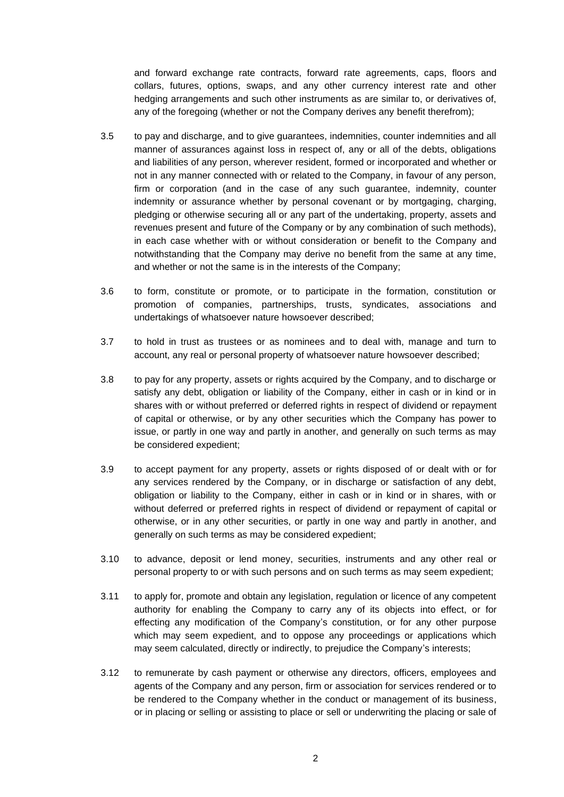and forward exchange rate contracts, forward rate agreements, caps, floors and collars, futures, options, swaps, and any other currency interest rate and other hedging arrangements and such other instruments as are similar to, or derivatives of, any of the foregoing (whether or not the Company derives any benefit therefrom);

- 3.5 to pay and discharge, and to give guarantees, indemnities, counter indemnities and all manner of assurances against loss in respect of, any or all of the debts, obligations and liabilities of any person, wherever resident, formed or incorporated and whether or not in any manner connected with or related to the Company, in favour of any person, firm or corporation (and in the case of any such guarantee, indemnity, counter indemnity or assurance whether by personal covenant or by mortgaging, charging, pledging or otherwise securing all or any part of the undertaking, property, assets and revenues present and future of the Company or by any combination of such methods), in each case whether with or without consideration or benefit to the Company and notwithstanding that the Company may derive no benefit from the same at any time, and whether or not the same is in the interests of the Company;
- 3.6 to form, constitute or promote, or to participate in the formation, constitution or promotion of companies, partnerships, trusts, syndicates, associations and undertakings of whatsoever nature howsoever described;
- 3.7 to hold in trust as trustees or as nominees and to deal with, manage and turn to account, any real or personal property of whatsoever nature howsoever described;
- 3.8 to pay for any property, assets or rights acquired by the Company, and to discharge or satisfy any debt, obligation or liability of the Company, either in cash or in kind or in shares with or without preferred or deferred rights in respect of dividend or repayment of capital or otherwise, or by any other securities which the Company has power to issue, or partly in one way and partly in another, and generally on such terms as may be considered expedient;
- 3.9 to accept payment for any property, assets or rights disposed of or dealt with or for any services rendered by the Company, or in discharge or satisfaction of any debt, obligation or liability to the Company, either in cash or in kind or in shares, with or without deferred or preferred rights in respect of dividend or repayment of capital or otherwise, or in any other securities, or partly in one way and partly in another, and generally on such terms as may be considered expedient;
- 3.10 to advance, deposit or lend money, securities, instruments and any other real or personal property to or with such persons and on such terms as may seem expedient;
- 3.11 to apply for, promote and obtain any legislation, regulation or licence of any competent authority for enabling the Company to carry any of its objects into effect, or for effecting any modification of the Company's constitution, or for any other purpose which may seem expedient, and to oppose any proceedings or applications which may seem calculated, directly or indirectly, to prejudice the Company's interests;
- 3.12 to remunerate by cash payment or otherwise any directors, officers, employees and agents of the Company and any person, firm or association for services rendered or to be rendered to the Company whether in the conduct or management of its business, or in placing or selling or assisting to place or sell or underwriting the placing or sale of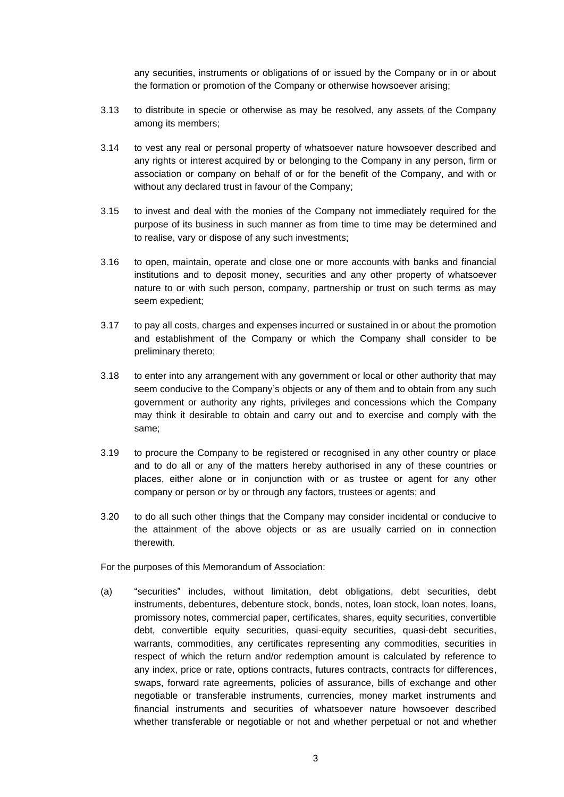any securities, instruments or obligations of or issued by the Company or in or about the formation or promotion of the Company or otherwise howsoever arising;

- 3.13 to distribute in specie or otherwise as may be resolved, any assets of the Company among its members;
- 3.14 to vest any real or personal property of whatsoever nature howsoever described and any rights or interest acquired by or belonging to the Company in any person, firm or association or company on behalf of or for the benefit of the Company, and with or without any declared trust in favour of the Company;
- 3.15 to invest and deal with the monies of the Company not immediately required for the purpose of its business in such manner as from time to time may be determined and to realise, vary or dispose of any such investments;
- 3.16 to open, maintain, operate and close one or more accounts with banks and financial institutions and to deposit money, securities and any other property of whatsoever nature to or with such person, company, partnership or trust on such terms as may seem expedient;
- 3.17 to pay all costs, charges and expenses incurred or sustained in or about the promotion and establishment of the Company or which the Company shall consider to be preliminary thereto;
- 3.18 to enter into any arrangement with any government or local or other authority that may seem conducive to the Company's objects or any of them and to obtain from any such government or authority any rights, privileges and concessions which the Company may think it desirable to obtain and carry out and to exercise and comply with the same;
- 3.19 to procure the Company to be registered or recognised in any other country or place and to do all or any of the matters hereby authorised in any of these countries or places, either alone or in conjunction with or as trustee or agent for any other company or person or by or through any factors, trustees or agents; and
- 3.20 to do all such other things that the Company may consider incidental or conducive to the attainment of the above objects or as are usually carried on in connection therewith.

For the purposes of this Memorandum of Association:

(a) "securities" includes, without limitation, debt obligations, debt securities, debt instruments, debentures, debenture stock, bonds, notes, loan stock, loan notes, loans, promissory notes, commercial paper, certificates, shares, equity securities, convertible debt, convertible equity securities, quasi-equity securities, quasi-debt securities, warrants, commodities, any certificates representing any commodities, securities in respect of which the return and/or redemption amount is calculated by reference to any index, price or rate, options contracts, futures contracts, contracts for differences, swaps, forward rate agreements, policies of assurance, bills of exchange and other negotiable or transferable instruments, currencies, money market instruments and financial instruments and securities of whatsoever nature howsoever described whether transferable or negotiable or not and whether perpetual or not and whether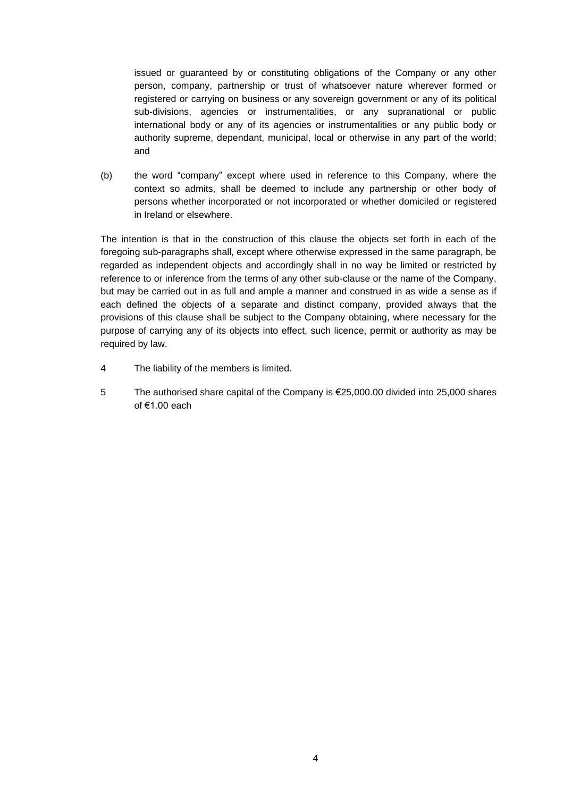issued or guaranteed by or constituting obligations of the Company or any other person, company, partnership or trust of whatsoever nature wherever formed or registered or carrying on business or any sovereign government or any of its political sub-divisions, agencies or instrumentalities, or any supranational or public international body or any of its agencies or instrumentalities or any public body or authority supreme, dependant, municipal, local or otherwise in any part of the world; and

(b) the word "company" except where used in reference to this Company, where the context so admits, shall be deemed to include any partnership or other body of persons whether incorporated or not incorporated or whether domiciled or registered in Ireland or elsewhere.

The intention is that in the construction of this clause the objects set forth in each of the foregoing sub-paragraphs shall, except where otherwise expressed in the same paragraph, be regarded as independent objects and accordingly shall in no way be limited or restricted by reference to or inference from the terms of any other sub-clause or the name of the Company, but may be carried out in as full and ample a manner and construed in as wide a sense as if each defined the objects of a separate and distinct company, provided always that the provisions of this clause shall be subject to the Company obtaining, where necessary for the purpose of carrying any of its objects into effect, such licence, permit or authority as may be required by law.

- 4 The liability of the members is limited.
- 5 The authorised share capital of the Company is €25,000.00 divided into 25,000 shares of €1.00 each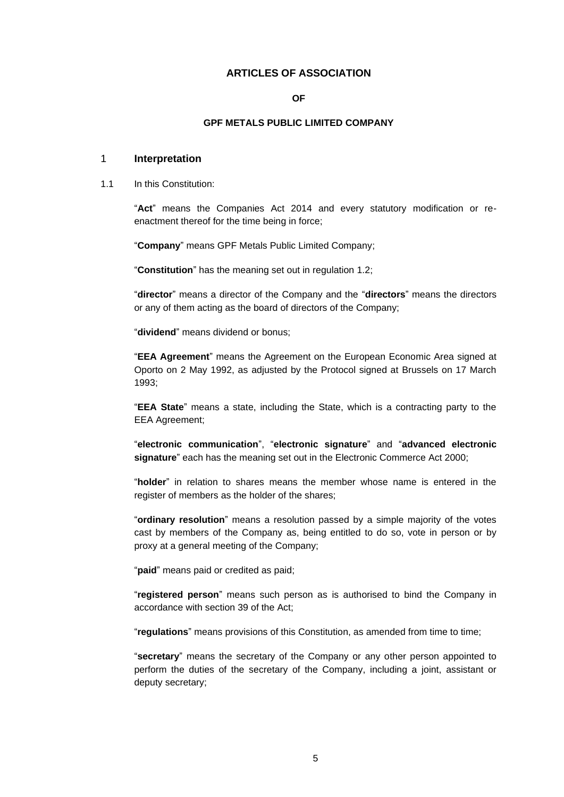# **ARTICLES OF ASSOCIATION**

#### **OF**

#### **GPF METALS PUBLIC LIMITED COMPANY**

#### <span id="page-7-1"></span><span id="page-7-0"></span>1 **Interpretation**

1.1 In this Constitution:

"**Act**" means the Companies Act 2014 and every statutory modification or reenactment thereof for the time being in force;

"**Company**" means GPF Metals Public Limited Company;

"**Constitution**" has the meaning set out in regulation [1.2;](#page-8-0)

"**director**" means a director of the Company and the "**directors**" means the directors or any of them acting as the board of directors of the Company;

"**dividend**" means dividend or bonus;

"**EEA Agreement**" means the Agreement on the European Economic Area signed at Oporto on 2 May 1992, as adjusted by the Protocol signed at Brussels on 17 March 1993;

"**EEA State**" means a state, including the State, which is a contracting party to the EEA Agreement;

"**electronic communication**", "**electronic signature**" and "**advanced electronic signature**" each has the meaning set out in the Electronic Commerce Act 2000;

"**holder**" in relation to shares means the member whose name is entered in the register of members as the holder of the shares:

"**ordinary resolution**" means a resolution passed by a simple majority of the votes cast by members of the Company as, being entitled to do so, vote in person or by proxy at a general meeting of the Company;

"**paid**" means paid or credited as paid;

"**registered person**" means such person as is authorised to bind the Company in accordance with section 39 of the Act;

"**regulations**" means provisions of this Constitution, as amended from time to time;

"**secretary**" means the secretary of the Company or any other person appointed to perform the duties of the secretary of the Company, including a joint, assistant or deputy secretary;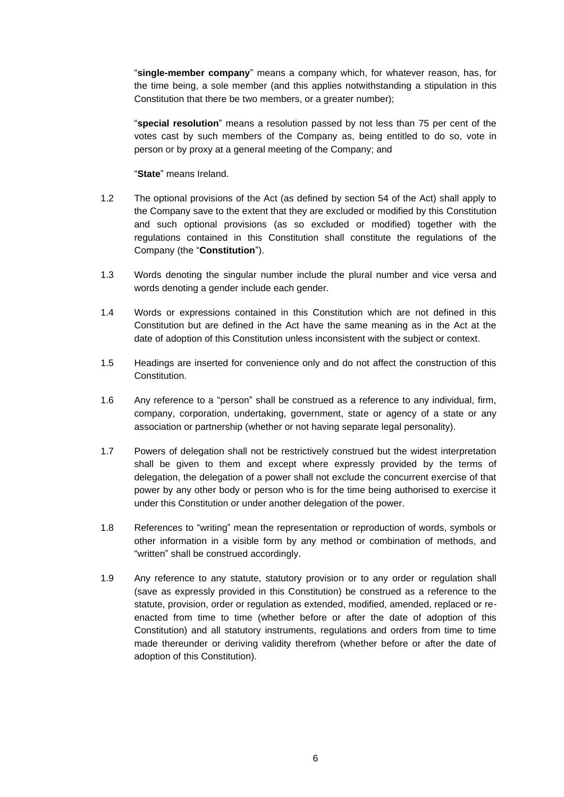"**single-member company**" means a company which, for whatever reason, has, for the time being, a sole member (and this applies notwithstanding a stipulation in this Constitution that there be two members, or a greater number);

"**special resolution**" means a resolution passed by not less than 75 per cent of the votes cast by such members of the Company as, being entitled to do so, vote in person or by proxy at a general meeting of the Company; and

"**State**" means Ireland.

- <span id="page-8-0"></span>1.2 The optional provisions of the Act (as defined by section 54 of the Act) shall apply to the Company save to the extent that they are excluded or modified by this Constitution and such optional provisions (as so excluded or modified) together with the regulations contained in this Constitution shall constitute the regulations of the Company (the "**Constitution**").
- 1.3 Words denoting the singular number include the plural number and vice versa and words denoting a gender include each gender.
- 1.4 Words or expressions contained in this Constitution which are not defined in this Constitution but are defined in the Act have the same meaning as in the Act at the date of adoption of this Constitution unless inconsistent with the subject or context.
- 1.5 Headings are inserted for convenience only and do not affect the construction of this Constitution.
- 1.6 Any reference to a "person" shall be construed as a reference to any individual, firm, company, corporation, undertaking, government, state or agency of a state or any association or partnership (whether or not having separate legal personality).
- 1.7 Powers of delegation shall not be restrictively construed but the widest interpretation shall be given to them and except where expressly provided by the terms of delegation, the delegation of a power shall not exclude the concurrent exercise of that power by any other body or person who is for the time being authorised to exercise it under this Constitution or under another delegation of the power.
- 1.8 References to "writing" mean the representation or reproduction of words, symbols or other information in a visible form by any method or combination of methods, and "written" shall be construed accordingly.
- 1.9 Any reference to any statute, statutory provision or to any order or regulation shall (save as expressly provided in this Constitution) be construed as a reference to the statute, provision, order or regulation as extended, modified, amended, replaced or reenacted from time to time (whether before or after the date of adoption of this Constitution) and all statutory instruments, regulations and orders from time to time made thereunder or deriving validity therefrom (whether before or after the date of adoption of this Constitution).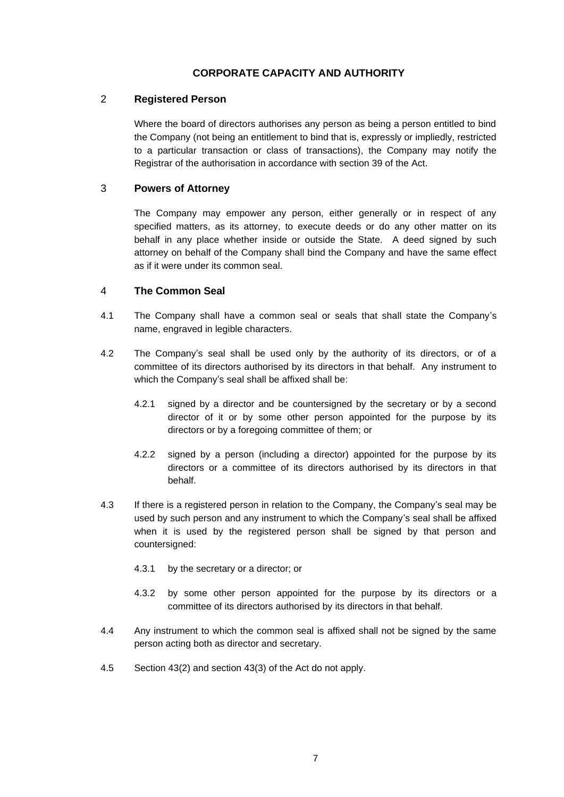# **CORPORATE CAPACITY AND AUTHORITY**

## <span id="page-9-1"></span><span id="page-9-0"></span>2 **Registered Person**

Where the board of directors authorises any person as being a person entitled to bind the Company (not being an entitlement to bind that is, expressly or impliedly, restricted to a particular transaction or class of transactions), the Company may notify the Registrar of the authorisation in accordance with section 39 of the Act.

## <span id="page-9-2"></span>3 **Powers of Attorney**

The Company may empower any person, either generally or in respect of any specified matters, as its attorney, to execute deeds or do any other matter on its behalf in any place whether inside or outside the State. A deed signed by such attorney on behalf of the Company shall bind the Company and have the same effect as if it were under its common seal.

## <span id="page-9-3"></span>4 **The Common Seal**

- 4.1 The Company shall have a common seal or seals that shall state the Company's name, engraved in legible characters.
- 4.2 The Company's seal shall be used only by the authority of its directors, or of a committee of its directors authorised by its directors in that behalf. Any instrument to which the Company's seal shall be affixed shall be:
	- 4.2.1 signed by a director and be countersigned by the secretary or by a second director of it or by some other person appointed for the purpose by its directors or by a foregoing committee of them; or
	- 4.2.2 signed by a person (including a director) appointed for the purpose by its directors or a committee of its directors authorised by its directors in that behalf.
- 4.3 If there is a registered person in relation to the Company, the Company's seal may be used by such person and any instrument to which the Company's seal shall be affixed when it is used by the registered person shall be signed by that person and countersigned:
	- 4.3.1 by the secretary or a director; or
	- 4.3.2 by some other person appointed for the purpose by its directors or a committee of its directors authorised by its directors in that behalf.
- 4.4 Any instrument to which the common seal is affixed shall not be signed by the same person acting both as director and secretary.
- 4.5 Section 43(2) and section 43(3) of the Act do not apply.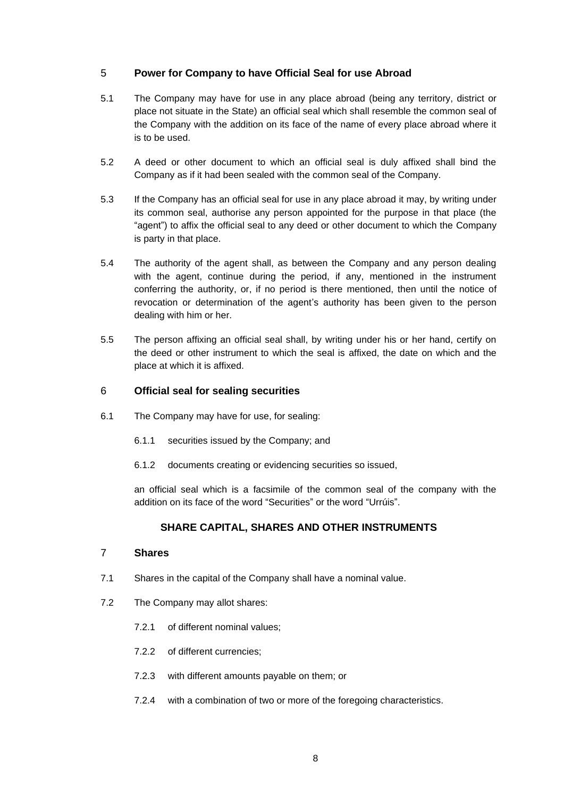## <span id="page-10-0"></span>5 **Power for Company to have Official Seal for use Abroad**

- 5.1 The Company may have for use in any place abroad (being any territory, district or place not situate in the State) an official seal which shall resemble the common seal of the Company with the addition on its face of the name of every place abroad where it is to be used.
- 5.2 A deed or other document to which an official seal is duly affixed shall bind the Company as if it had been sealed with the common seal of the Company.
- 5.3 If the Company has an official seal for use in any place abroad it may, by writing under its common seal, authorise any person appointed for the purpose in that place (the "agent") to affix the official seal to any deed or other document to which the Company is party in that place.
- 5.4 The authority of the agent shall, as between the Company and any person dealing with the agent, continue during the period, if any, mentioned in the instrument conferring the authority, or, if no period is there mentioned, then until the notice of revocation or determination of the agent's authority has been given to the person dealing with him or her.
- 5.5 The person affixing an official seal shall, by writing under his or her hand, certify on the deed or other instrument to which the seal is affixed, the date on which and the place at which it is affixed.

#### <span id="page-10-1"></span>6 **Official seal for sealing securities**

- 6.1 The Company may have for use, for sealing:
	- 6.1.1 securities issued by the Company; and
	- 6.1.2 documents creating or evidencing securities so issued,

an official seal which is a facsimile of the common seal of the company with the addition on its face of the word "Securities" or the word "Urrúis".

# **SHARE CAPITAL, SHARES AND OTHER INSTRUMENTS**

## <span id="page-10-3"></span><span id="page-10-2"></span>7 **Shares**

- 7.1 Shares in the capital of the Company shall have a nominal value.
- 7.2 The Company may allot shares:
	- 7.2.1 of different nominal values;
	- 7.2.2 of different currencies;
	- 7.2.3 with different amounts payable on them; or
	- 7.2.4 with a combination of two or more of the foregoing characteristics.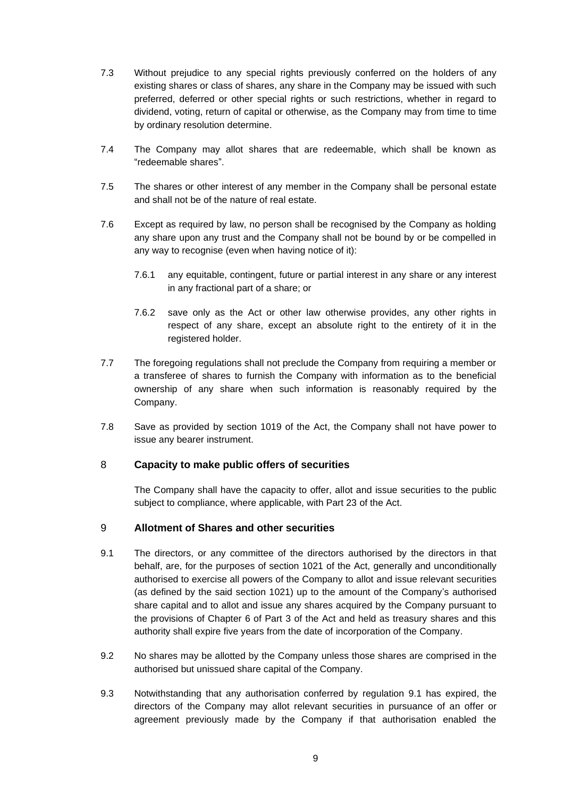- 7.3 Without prejudice to any special rights previously conferred on the holders of any existing shares or class of shares, any share in the Company may be issued with such preferred, deferred or other special rights or such restrictions, whether in regard to dividend, voting, return of capital or otherwise, as the Company may from time to time by ordinary resolution determine.
- 7.4 The Company may allot shares that are redeemable, which shall be known as "redeemable shares".
- 7.5 The shares or other interest of any member in the Company shall be personal estate and shall not be of the nature of real estate.
- 7.6 Except as required by law, no person shall be recognised by the Company as holding any share upon any trust and the Company shall not be bound by or be compelled in any way to recognise (even when having notice of it):
	- 7.6.1 any equitable, contingent, future or partial interest in any share or any interest in any fractional part of a share; or
	- 7.6.2 save only as the Act or other law otherwise provides, any other rights in respect of any share, except an absolute right to the entirety of it in the registered holder.
- 7.7 The foregoing regulations shall not preclude the Company from requiring a member or a transferee of shares to furnish the Company with information as to the beneficial ownership of any share when such information is reasonably required by the Company.
- 7.8 Save as provided by section 1019 of the Act, the Company shall not have power to issue any bearer instrument.

#### <span id="page-11-0"></span>8 **Capacity to make public offers of securities**

The Company shall have the capacity to offer, allot and issue securities to the public subject to compliance, where applicable, with Part 23 of the Act.

#### <span id="page-11-1"></span>9 **Allotment of Shares and other securities**

- <span id="page-11-2"></span>9.1 The directors, or any committee of the directors authorised by the directors in that behalf, are, for the purposes of section 1021 of the Act, generally and unconditionally authorised to exercise all powers of the Company to allot and issue relevant securities (as defined by the said section 1021) up to the amount of the Company's authorised share capital and to allot and issue any shares acquired by the Company pursuant to the provisions of Chapter 6 of Part 3 of the Act and held as treasury shares and this authority shall expire five years from the date of incorporation of the Company.
- 9.2 No shares may be allotted by the Company unless those shares are comprised in the authorised but unissued share capital of the Company.
- 9.3 Notwithstanding that any authorisation conferred by regulation [9.1](#page-11-2) has expired, the directors of the Company may allot relevant securities in pursuance of an offer or agreement previously made by the Company if that authorisation enabled the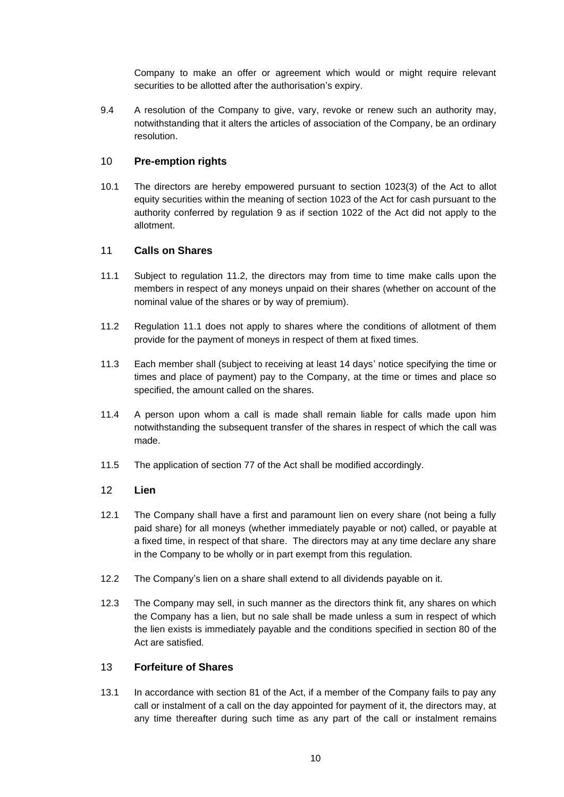Company to make an offer or agreement which would or might require relevant securities to be allotted after the authorisation's expiry.

9.4 A resolution of the Company to give, vary, revoke or renew such an authority may, notwithstanding that it alters the articles of association of the Company, be an ordinary resolution.

# <span id="page-12-0"></span>10 **Pre-emption rights**

10.1 The directors are hereby empowered pursuant to section 1023(3) of the Act to allot equity securities within the meaning of section 1023 of the Act for cash pursuant to the authority conferred by regulation [9](#page-11-1) as if section 1022 of the Act did not apply to the allotment.

# <span id="page-12-1"></span>11 **Calls on Shares**

- <span id="page-12-5"></span>11.1 Subject to regulation [11.2,](#page-12-4) the directors may from time to time make calls upon the members in respect of any moneys unpaid on their shares (whether on account of the nominal value of the shares or by way of premium).
- <span id="page-12-4"></span>11.2 Regulation [11.1](#page-12-5) does not apply to shares where the conditions of allotment of them provide for the payment of moneys in respect of them at fixed times.
- 11.3 Each member shall (subject to receiving at least 14 days' notice specifying the time or times and place of payment) pay to the Company, at the time or times and place so specified, the amount called on the shares.
- 11.4 A person upon whom a call is made shall remain liable for calls made upon him notwithstanding the subsequent transfer of the shares in respect of which the call was made.
- 11.5 The application of section 77 of the Act shall be modified accordingly.

# <span id="page-12-2"></span>12 **Lien**

- 12.1 The Company shall have a first and paramount lien on every share (not being a fully paid share) for all moneys (whether immediately payable or not) called, or payable at a fixed time, in respect of that share. The directors may at any time declare any share in the Company to be wholly or in part exempt from this regulation.
- 12.2 The Company's lien on a share shall extend to all dividends payable on it.
- 12.3 The Company may sell, in such manner as the directors think fit, any shares on which the Company has a lien, but no sale shall be made unless a sum in respect of which the lien exists is immediately payable and the conditions specified in section 80 of the Act are satisfied.

#### <span id="page-12-3"></span>13 **Forfeiture of Shares**

13.1 In accordance with section 81 of the Act, if a member of the Company fails to pay any call or instalment of a call on the day appointed for payment of it, the directors may, at any time thereafter during such time as any part of the call or instalment remains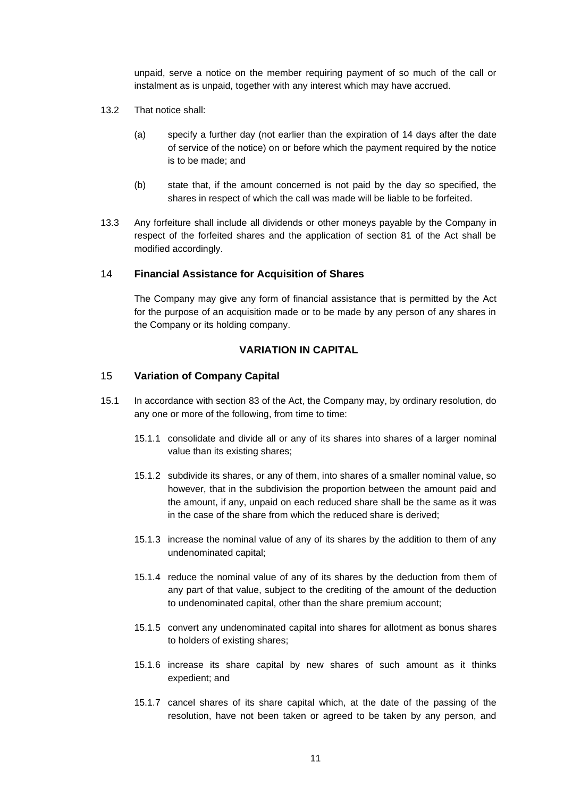unpaid, serve a notice on the member requiring payment of so much of the call or instalment as is unpaid, together with any interest which may have accrued.

- 13.2 That notice shall:
	- (a) specify a further day (not earlier than the expiration of 14 days after the date of service of the notice) on or before which the payment required by the notice is to be made; and
	- (b) state that, if the amount concerned is not paid by the day so specified, the shares in respect of which the call was made will be liable to be forfeited.
- 13.3 Any forfeiture shall include all dividends or other moneys payable by the Company in respect of the forfeited shares and the application of section 81 of the Act shall be modified accordingly.

#### <span id="page-13-0"></span>14 **Financial Assistance for Acquisition of Shares**

The Company may give any form of financial assistance that is permitted by the Act for the purpose of an acquisition made or to be made by any person of any shares in the Company or its holding company.

## **VARIATION IN CAPITAL**

## <span id="page-13-2"></span><span id="page-13-1"></span>15 **Variation of Company Capital**

- 15.1 In accordance with section 83 of the Act, the Company may, by ordinary resolution, do any one or more of the following, from time to time:
	- 15.1.1 consolidate and divide all or any of its shares into shares of a larger nominal value than its existing shares;
	- 15.1.2 subdivide its shares, or any of them, into shares of a smaller nominal value, so however, that in the subdivision the proportion between the amount paid and the amount, if any, unpaid on each reduced share shall be the same as it was in the case of the share from which the reduced share is derived;
	- 15.1.3 increase the nominal value of any of its shares by the addition to them of any undenominated capital;
	- 15.1.4 reduce the nominal value of any of its shares by the deduction from them of any part of that value, subject to the crediting of the amount of the deduction to undenominated capital, other than the share premium account;
	- 15.1.5 convert any undenominated capital into shares for allotment as bonus shares to holders of existing shares;
	- 15.1.6 increase its share capital by new shares of such amount as it thinks expedient; and
	- 15.1.7 cancel shares of its share capital which, at the date of the passing of the resolution, have not been taken or agreed to be taken by any person, and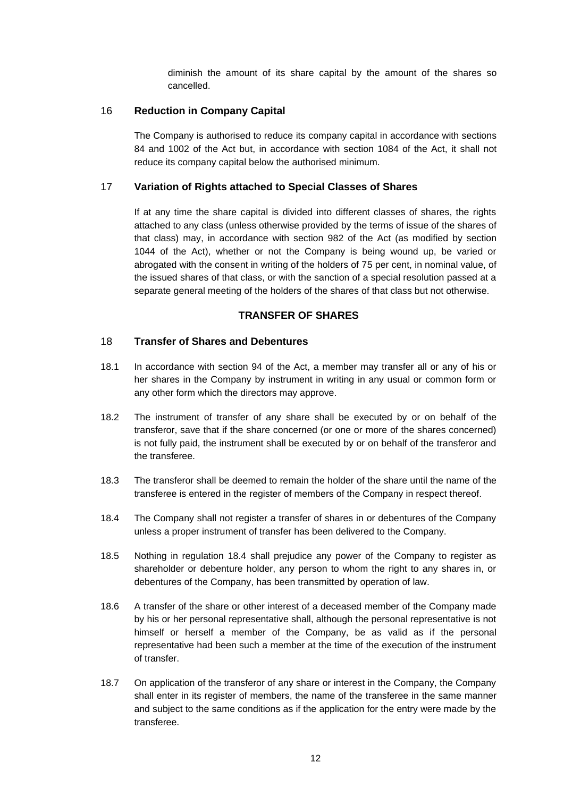diminish the amount of its share capital by the amount of the shares so cancelled.

## <span id="page-14-0"></span>16 **Reduction in Company Capital**

The Company is authorised to reduce its company capital in accordance with sections 84 and 1002 of the Act but, in accordance with section 1084 of the Act, it shall not reduce its company capital below the authorised minimum.

## <span id="page-14-1"></span>17 **Variation of Rights attached to Special Classes of Shares**

If at any time the share capital is divided into different classes of shares, the rights attached to any class (unless otherwise provided by the terms of issue of the shares of that class) may, in accordance with section 982 of the Act (as modified by section 1044 of the Act), whether or not the Company is being wound up, be varied or abrogated with the consent in writing of the holders of 75 per cent, in nominal value, of the issued shares of that class, or with the sanction of a special resolution passed at a separate general meeting of the holders of the shares of that class but not otherwise.

## **TRANSFER OF SHARES**

## <span id="page-14-3"></span><span id="page-14-2"></span>18 **Transfer of Shares and Debentures**

- 18.1 In accordance with section 94 of the Act, a member may transfer all or any of his or her shares in the Company by instrument in writing in any usual or common form or any other form which the directors may approve.
- 18.2 The instrument of transfer of any share shall be executed by or on behalf of the transferor, save that if the share concerned (or one or more of the shares concerned) is not fully paid, the instrument shall be executed by or on behalf of the transferor and the transferee.
- 18.3 The transferor shall be deemed to remain the holder of the share until the name of the transferee is entered in the register of members of the Company in respect thereof.
- <span id="page-14-4"></span>18.4 The Company shall not register a transfer of shares in or debentures of the Company unless a proper instrument of transfer has been delivered to the Company.
- 18.5 Nothing in regulation [18.4](#page-14-4) shall prejudice any power of the Company to register as shareholder or debenture holder, any person to whom the right to any shares in, or debentures of the Company, has been transmitted by operation of law.
- 18.6 A transfer of the share or other interest of a deceased member of the Company made by his or her personal representative shall, although the personal representative is not himself or herself a member of the Company, be as valid as if the personal representative had been such a member at the time of the execution of the instrument of transfer.
- 18.7 On application of the transferor of any share or interest in the Company, the Company shall enter in its register of members, the name of the transferee in the same manner and subject to the same conditions as if the application for the entry were made by the transferee.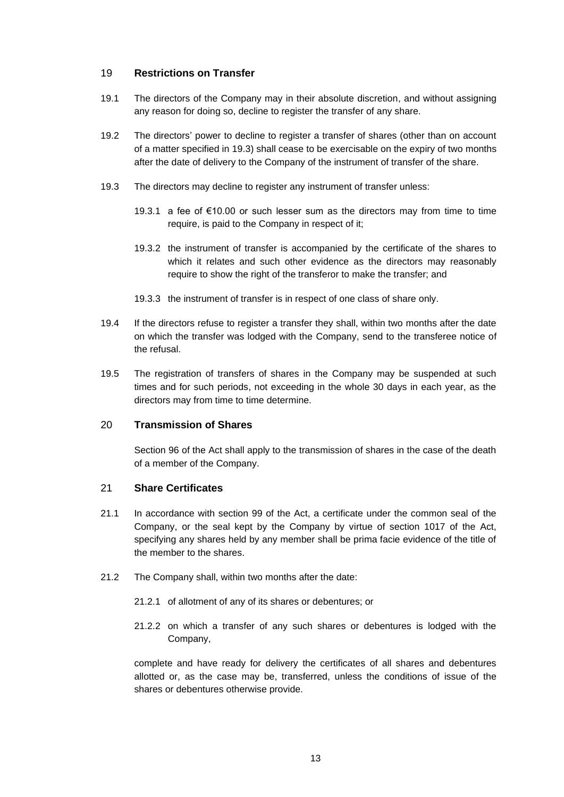### <span id="page-15-0"></span>19 **Restrictions on Transfer**

- 19.1 The directors of the Company may in their absolute discretion, and without assigning any reason for doing so, decline to register the transfer of any share.
- 19.2 The directors' power to decline to register a transfer of shares (other than on account of a matter specified in [19.3\)](#page-15-3) shall cease to be exercisable on the expiry of two months after the date of delivery to the Company of the instrument of transfer of the share.
- <span id="page-15-3"></span>19.3 The directors may decline to register any instrument of transfer unless:
	- 19.3.1 a fee of €10.00 or such lesser sum as the directors may from time to time require, is paid to the Company in respect of it;
	- 19.3.2 the instrument of transfer is accompanied by the certificate of the shares to which it relates and such other evidence as the directors may reasonably require to show the right of the transferor to make the transfer; and
	- 19.3.3 the instrument of transfer is in respect of one class of share only.
- 19.4 If the directors refuse to register a transfer they shall, within two months after the date on which the transfer was lodged with the Company, send to the transferee notice of the refusal.
- 19.5 The registration of transfers of shares in the Company may be suspended at such times and for such periods, not exceeding in the whole 30 days in each year, as the directors may from time to time determine.

#### <span id="page-15-1"></span>20 **Transmission of Shares**

Section 96 of the Act shall apply to the transmission of shares in the case of the death of a member of the Company.

#### <span id="page-15-2"></span>21 **Share Certificates**

- 21.1 In accordance with section 99 of the Act, a certificate under the common seal of the Company, or the seal kept by the Company by virtue of section 1017 of the Act, specifying any shares held by any member shall be prima facie evidence of the title of the member to the shares.
- 21.2 The Company shall, within two months after the date:
	- 21.2.1 of allotment of any of its shares or debentures; or
	- 21.2.2 on which a transfer of any such shares or debentures is lodged with the Company,

complete and have ready for delivery the certificates of all shares and debentures allotted or, as the case may be, transferred, unless the conditions of issue of the shares or debentures otherwise provide.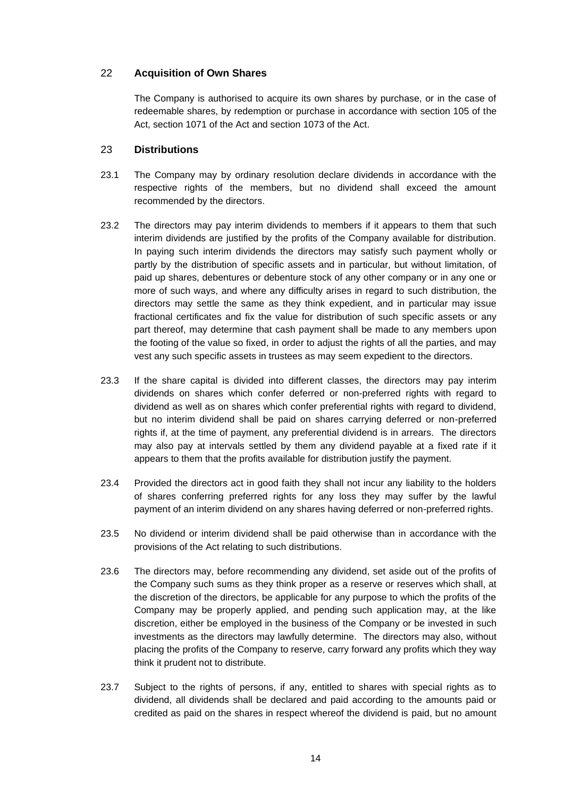## <span id="page-16-0"></span>22 **Acquisition of Own Shares**

The Company is authorised to acquire its own shares by purchase, or in the case of redeemable shares, by redemption or purchase in accordance with section 105 of the Act, section 1071 of the Act and section 1073 of the Act.

### <span id="page-16-1"></span>23 **Distributions**

- 23.1 The Company may by ordinary resolution declare dividends in accordance with the respective rights of the members, but no dividend shall exceed the amount recommended by the directors.
- 23.2 The directors may pay interim dividends to members if it appears to them that such interim dividends are justified by the profits of the Company available for distribution. In paying such interim dividends the directors may satisfy such payment wholly or partly by the distribution of specific assets and in particular, but without limitation, of paid up shares, debentures or debenture stock of any other company or in any one or more of such ways, and where any difficulty arises in regard to such distribution, the directors may settle the same as they think expedient, and in particular may issue fractional certificates and fix the value for distribution of such specific assets or any part thereof, may determine that cash payment shall be made to any members upon the footing of the value so fixed, in order to adjust the rights of all the parties, and may vest any such specific assets in trustees as may seem expedient to the directors.
- 23.3 If the share capital is divided into different classes, the directors may pay interim dividends on shares which confer deferred or non-preferred rights with regard to dividend as well as on shares which confer preferential rights with regard to dividend, but no interim dividend shall be paid on shares carrying deferred or non-preferred rights if, at the time of payment, any preferential dividend is in arrears. The directors may also pay at intervals settled by them any dividend payable at a fixed rate if it appears to them that the profits available for distribution justify the payment.
- 23.4 Provided the directors act in good faith they shall not incur any liability to the holders of shares conferring preferred rights for any loss they may suffer by the lawful payment of an interim dividend on any shares having deferred or non-preferred rights.
- 23.5 No dividend or interim dividend shall be paid otherwise than in accordance with the provisions of the Act relating to such distributions.
- 23.6 The directors may, before recommending any dividend, set aside out of the profits of the Company such sums as they think proper as a reserve or reserves which shall, at the discretion of the directors, be applicable for any purpose to which the profits of the Company may be properly applied, and pending such application may, at the like discretion, either be employed in the business of the Company or be invested in such investments as the directors may lawfully determine. The directors may also, without placing the profits of the Company to reserve, carry forward any profits which they way think it prudent not to distribute.
- 23.7 Subject to the rights of persons, if any, entitled to shares with special rights as to dividend, all dividends shall be declared and paid according to the amounts paid or credited as paid on the shares in respect whereof the dividend is paid, but no amount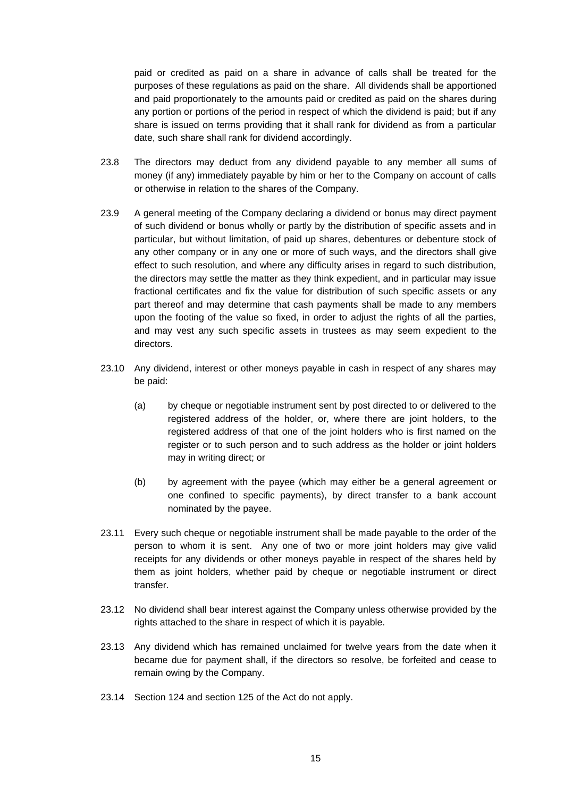paid or credited as paid on a share in advance of calls shall be treated for the purposes of these regulations as paid on the share. All dividends shall be apportioned and paid proportionately to the amounts paid or credited as paid on the shares during any portion or portions of the period in respect of which the dividend is paid; but if any share is issued on terms providing that it shall rank for dividend as from a particular date, such share shall rank for dividend accordingly.

- 23.8 The directors may deduct from any dividend payable to any member all sums of money (if any) immediately payable by him or her to the Company on account of calls or otherwise in relation to the shares of the Company.
- 23.9 A general meeting of the Company declaring a dividend or bonus may direct payment of such dividend or bonus wholly or partly by the distribution of specific assets and in particular, but without limitation, of paid up shares, debentures or debenture stock of any other company or in any one or more of such ways, and the directors shall give effect to such resolution, and where any difficulty arises in regard to such distribution, the directors may settle the matter as they think expedient, and in particular may issue fractional certificates and fix the value for distribution of such specific assets or any part thereof and may determine that cash payments shall be made to any members upon the footing of the value so fixed, in order to adjust the rights of all the parties, and may vest any such specific assets in trustees as may seem expedient to the directors.
- 23.10 Any dividend, interest or other moneys payable in cash in respect of any shares may be paid:
	- (a) by cheque or negotiable instrument sent by post directed to or delivered to the registered address of the holder, or, where there are joint holders, to the registered address of that one of the joint holders who is first named on the register or to such person and to such address as the holder or joint holders may in writing direct; or
	- (b) by agreement with the payee (which may either be a general agreement or one confined to specific payments), by direct transfer to a bank account nominated by the payee.
- 23.11 Every such cheque or negotiable instrument shall be made payable to the order of the person to whom it is sent. Any one of two or more joint holders may give valid receipts for any dividends or other moneys payable in respect of the shares held by them as joint holders, whether paid by cheque or negotiable instrument or direct transfer.
- 23.12 No dividend shall bear interest against the Company unless otherwise provided by the rights attached to the share in respect of which it is payable.
- 23.13 Any dividend which has remained unclaimed for twelve years from the date when it became due for payment shall, if the directors so resolve, be forfeited and cease to remain owing by the Company.
- 23.14 Section 124 and section 125 of the Act do not apply.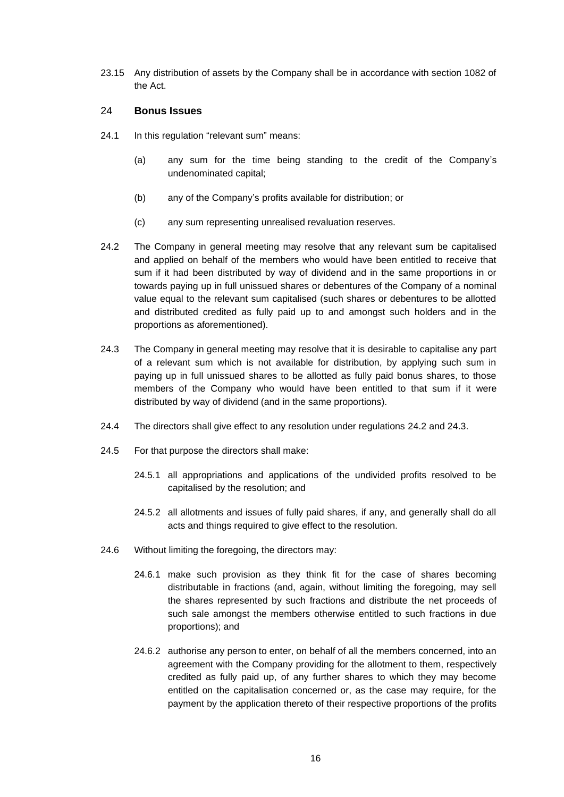23.15 Any distribution of assets by the Company shall be in accordance with section 1082 of the Act.

## <span id="page-18-0"></span>24 **Bonus Issues**

- 24.1 In this regulation "relevant sum" means:
	- (a) any sum for the time being standing to the credit of the Company's undenominated capital;
	- (b) any of the Company's profits available for distribution; or
	- (c) any sum representing unrealised revaluation reserves.
- <span id="page-18-1"></span>24.2 The Company in general meeting may resolve that any relevant sum be capitalised and applied on behalf of the members who would have been entitled to receive that sum if it had been distributed by way of dividend and in the same proportions in or towards paying up in full unissued shares or debentures of the Company of a nominal value equal to the relevant sum capitalised (such shares or debentures to be allotted and distributed credited as fully paid up to and amongst such holders and in the proportions as aforementioned).
- <span id="page-18-2"></span>24.3 The Company in general meeting may resolve that it is desirable to capitalise any part of a relevant sum which is not available for distribution, by applying such sum in paying up in full unissued shares to be allotted as fully paid bonus shares, to those members of the Company who would have been entitled to that sum if it were distributed by way of dividend (and in the same proportions).
- 24.4 The directors shall give effect to any resolution under regulations [24.2](#page-18-1) and [24.3.](#page-18-2)
- 24.5 For that purpose the directors shall make:
	- 24.5.1 all appropriations and applications of the undivided profits resolved to be capitalised by the resolution; and
	- 24.5.2 all allotments and issues of fully paid shares, if any, and generally shall do all acts and things required to give effect to the resolution.
- 24.6 Without limiting the foregoing, the directors may:
	- 24.6.1 make such provision as they think fit for the case of shares becoming distributable in fractions (and, again, without limiting the foregoing, may sell the shares represented by such fractions and distribute the net proceeds of such sale amongst the members otherwise entitled to such fractions in due proportions); and
	- 24.6.2 authorise any person to enter, on behalf of all the members concerned, into an agreement with the Company providing for the allotment to them, respectively credited as fully paid up, of any further shares to which they may become entitled on the capitalisation concerned or, as the case may require, for the payment by the application thereto of their respective proportions of the profits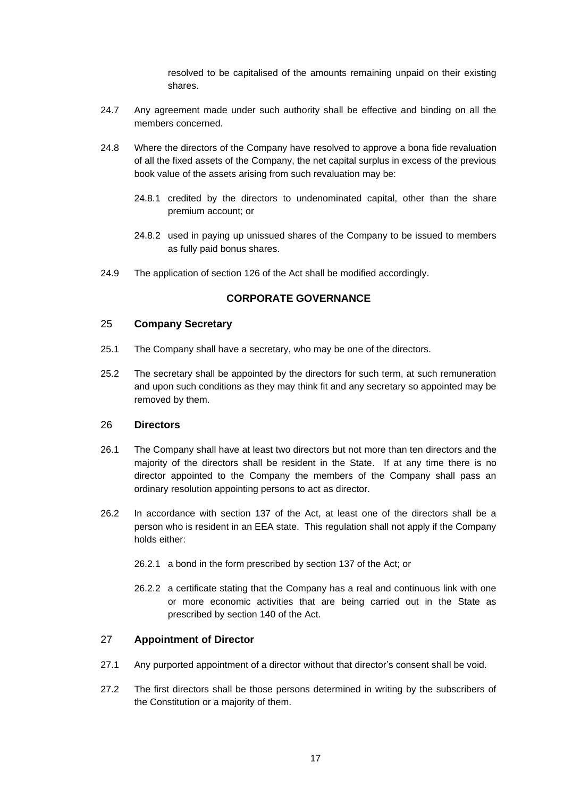resolved to be capitalised of the amounts remaining unpaid on their existing shares.

- 24.7 Any agreement made under such authority shall be effective and binding on all the members concerned.
- 24.8 Where the directors of the Company have resolved to approve a bona fide revaluation of all the fixed assets of the Company, the net capital surplus in excess of the previous book value of the assets arising from such revaluation may be:
	- 24.8.1 credited by the directors to undenominated capital, other than the share premium account; or
	- 24.8.2 used in paying up unissued shares of the Company to be issued to members as fully paid bonus shares.
- <span id="page-19-0"></span>24.9 The application of section 126 of the Act shall be modified accordingly.

# **CORPORATE GOVERNANCE**

#### <span id="page-19-1"></span>25 **Company Secretary**

- 25.1 The Company shall have a secretary, who may be one of the directors.
- 25.2 The secretary shall be appointed by the directors for such term, at such remuneration and upon such conditions as they may think fit and any secretary so appointed may be removed by them.

#### <span id="page-19-2"></span>26 **Directors**

- 26.1 The Company shall have at least two directors but not more than ten directors and the majority of the directors shall be resident in the State. If at any time there is no director appointed to the Company the members of the Company shall pass an ordinary resolution appointing persons to act as director.
- 26.2 In accordance with section 137 of the Act, at least one of the directors shall be a person who is resident in an EEA state. This regulation shall not apply if the Company holds either:
	- 26.2.1 a bond in the form prescribed by section 137 of the Act; or
	- 26.2.2 a certificate stating that the Company has a real and continuous link with one or more economic activities that are being carried out in the State as prescribed by section 140 of the Act.

#### <span id="page-19-3"></span>27 **Appointment of Director**

- <span id="page-19-4"></span>27.1 Any purported appointment of a director without that director's consent shall be void.
- 27.2 The first directors shall be those persons determined in writing by the subscribers of the Constitution or a majority of them.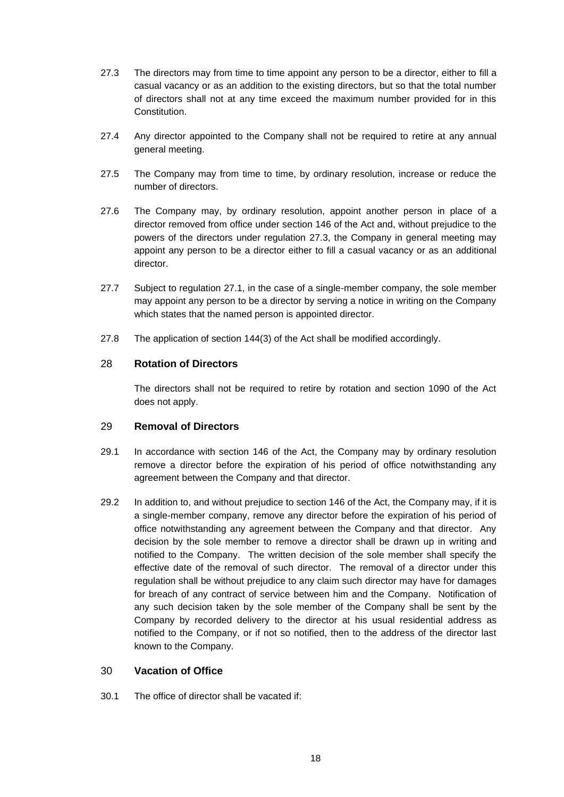- <span id="page-20-3"></span>27.3 The directors may from time to time appoint any person to be a director, either to fill a casual vacancy or as an addition to the existing directors, but so that the total number of directors shall not at any time exceed the maximum number provided for in this **Constitution**
- 27.4 Any director appointed to the Company shall not be required to retire at any annual general meeting.
- 27.5 The Company may from time to time, by ordinary resolution, increase or reduce the number of directors.
- 27.6 The Company may, by ordinary resolution, appoint another person in place of a director removed from office under section 146 of the Act and, without prejudice to the powers of the directors under regulation [27.3,](#page-20-3) the Company in general meeting may appoint any person to be a director either to fill a casual vacancy or as an additional director.
- 27.7 Subject to regulation [27.1,](#page-19-4) in the case of a single-member company, the sole member may appoint any person to be a director by serving a notice in writing on the Company which states that the named person is appointed director.
- 27.8 The application of section 144(3) of the Act shall be modified accordingly.

#### <span id="page-20-0"></span>28 **Rotation of Directors**

The directors shall not be required to retire by rotation and section 1090 of the Act does not apply.

#### <span id="page-20-1"></span>29 **Removal of Directors**

- 29.1 In accordance with section 146 of the Act, the Company may by ordinary resolution remove a director before the expiration of his period of office notwithstanding any agreement between the Company and that director.
- 29.2 In addition to, and without prejudice to section 146 of the Act, the Company may, if it is a single-member company, remove any director before the expiration of his period of office notwithstanding any agreement between the Company and that director. Any decision by the sole member to remove a director shall be drawn up in writing and notified to the Company. The written decision of the sole member shall specify the effective date of the removal of such director. The removal of a director under this regulation shall be without prejudice to any claim such director may have for damages for breach of any contract of service between him and the Company. Notification of any such decision taken by the sole member of the Company shall be sent by the Company by recorded delivery to the director at his usual residential address as notified to the Company, or if not so notified, then to the address of the director last known to the Company.

## <span id="page-20-2"></span>30 **Vacation of Office**

30.1 The office of director shall be vacated if: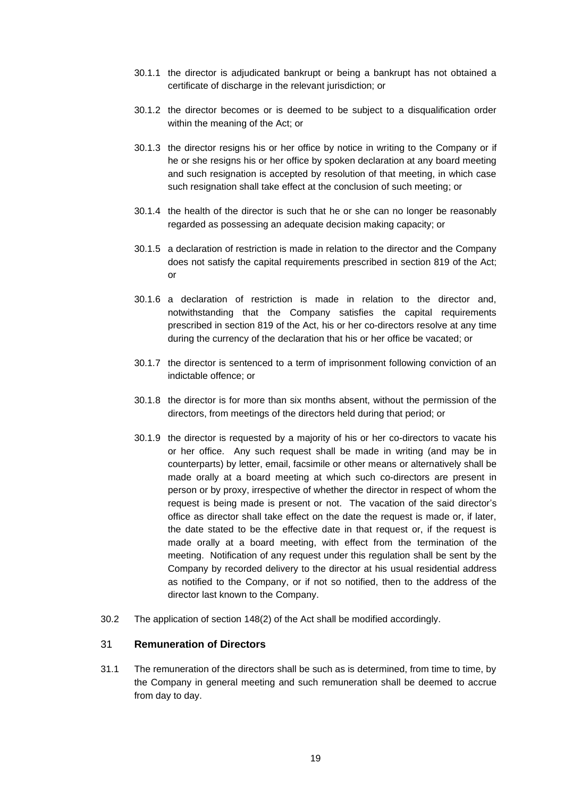- 30.1.1 the director is adjudicated bankrupt or being a bankrupt has not obtained a certificate of discharge in the relevant jurisdiction; or
- 30.1.2 the director becomes or is deemed to be subject to a disqualification order within the meaning of the Act; or
- 30.1.3 the director resigns his or her office by notice in writing to the Company or if he or she resigns his or her office by spoken declaration at any board meeting and such resignation is accepted by resolution of that meeting, in which case such resignation shall take effect at the conclusion of such meeting; or
- 30.1.4 the health of the director is such that he or she can no longer be reasonably regarded as possessing an adequate decision making capacity; or
- 30.1.5 a declaration of restriction is made in relation to the director and the Company does not satisfy the capital requirements prescribed in section 819 of the Act; or
- 30.1.6 a declaration of restriction is made in relation to the director and, notwithstanding that the Company satisfies the capital requirements prescribed in section 819 of the Act, his or her co-directors resolve at any time during the currency of the declaration that his or her office be vacated; or
- 30.1.7 the director is sentenced to a term of imprisonment following conviction of an indictable offence; or
- 30.1.8 the director is for more than six months absent, without the permission of the directors, from meetings of the directors held during that period; or
- 30.1.9 the director is requested by a majority of his or her co-directors to vacate his or her office. Any such request shall be made in writing (and may be in counterparts) by letter, email, facsimile or other means or alternatively shall be made orally at a board meeting at which such co-directors are present in person or by proxy, irrespective of whether the director in respect of whom the request is being made is present or not. The vacation of the said director's office as director shall take effect on the date the request is made or, if later, the date stated to be the effective date in that request or, if the request is made orally at a board meeting, with effect from the termination of the meeting. Notification of any request under this regulation shall be sent by the Company by recorded delivery to the director at his usual residential address as notified to the Company, or if not so notified, then to the address of the director last known to the Company.
- 30.2 The application of section 148(2) of the Act shall be modified accordingly.

#### <span id="page-21-0"></span>31 **Remuneration of Directors**

31.1 The remuneration of the directors shall be such as is determined, from time to time, by the Company in general meeting and such remuneration shall be deemed to accrue from day to day.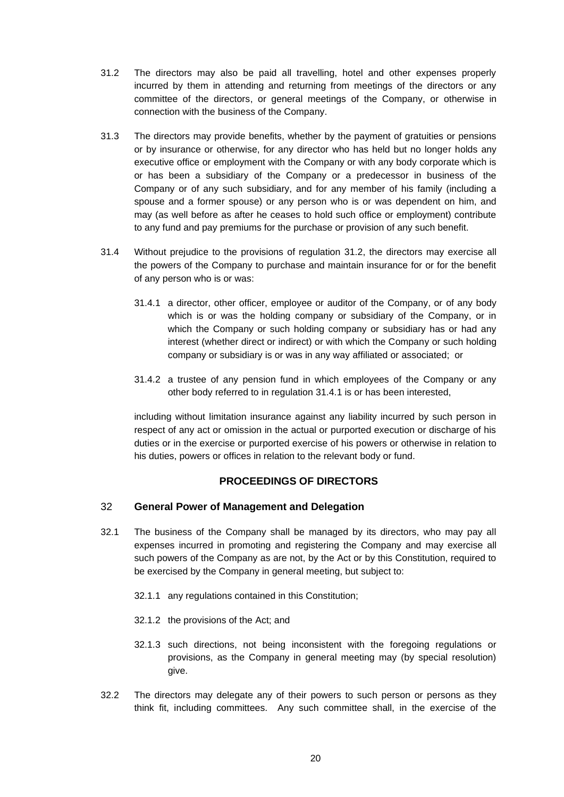- 31.2 The directors may also be paid all travelling, hotel and other expenses properly incurred by them in attending and returning from meetings of the directors or any committee of the directors, or general meetings of the Company, or otherwise in connection with the business of the Company.
- <span id="page-22-2"></span>31.3 The directors may provide benefits, whether by the payment of gratuities or pensions or by insurance or otherwise, for any director who has held but no longer holds any executive office or employment with the Company or with any body corporate which is or has been a subsidiary of the Company or a predecessor in business of the Company or of any such subsidiary, and for any member of his family (including a spouse and a former spouse) or any person who is or was dependent on him, and may (as well before as after he ceases to hold such office or employment) contribute to any fund and pay premiums for the purchase or provision of any such benefit.
- <span id="page-22-3"></span>31.4 Without prejudice to the provisions of regulation [31.2,](#page-22-2) the directors may exercise all the powers of the Company to purchase and maintain insurance for or for the benefit of any person who is or was:
	- 31.4.1 a director, other officer, employee or auditor of the Company, or of any body which is or was the holding company or subsidiary of the Company, or in which the Company or such holding company or subsidiary has or had any interest (whether direct or indirect) or with which the Company or such holding company or subsidiary is or was in any way affiliated or associated; or
	- 31.4.2 a trustee of any pension fund in which employees of the Company or any other body referred to in regulation [31.4.1](#page-22-3) is or has been interested,

including without limitation insurance against any liability incurred by such person in respect of any act or omission in the actual or purported execution or discharge of his duties or in the exercise or purported exercise of his powers or otherwise in relation to his duties, powers or offices in relation to the relevant body or fund.

# **PROCEEDINGS OF DIRECTORS**

# <span id="page-22-1"></span><span id="page-22-0"></span>32 **General Power of Management and Delegation**

- 32.1 The business of the Company shall be managed by its directors, who may pay all expenses incurred in promoting and registering the Company and may exercise all such powers of the Company as are not, by the Act or by this Constitution, required to be exercised by the Company in general meeting, but subject to:
	- 32.1.1 any regulations contained in this Constitution;
	- 32.1.2 the provisions of the Act; and
	- 32.1.3 such directions, not being inconsistent with the foregoing regulations or provisions, as the Company in general meeting may (by special resolution) give.
- 32.2 The directors may delegate any of their powers to such person or persons as they think fit, including committees. Any such committee shall, in the exercise of the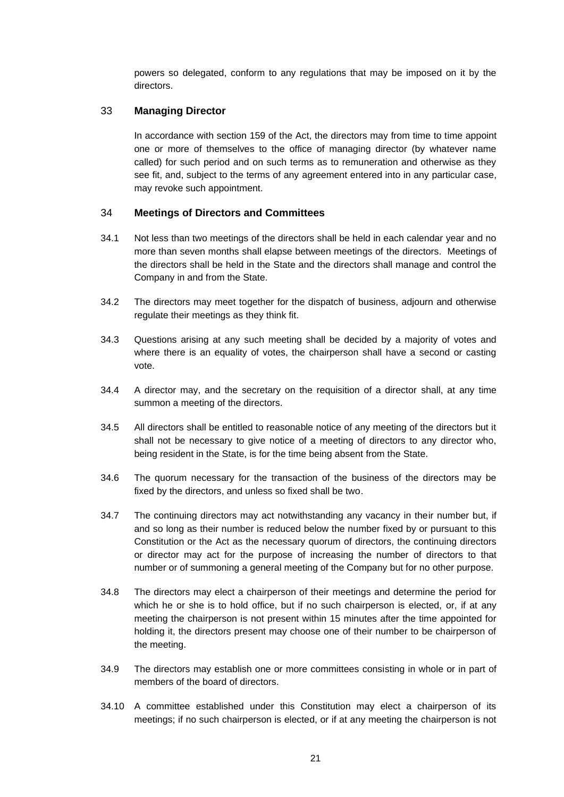powers so delegated, conform to any regulations that may be imposed on it by the directors.

## <span id="page-23-0"></span>33 **Managing Director**

In accordance with section 159 of the Act, the directors may from time to time appoint one or more of themselves to the office of managing director (by whatever name called) for such period and on such terms as to remuneration and otherwise as they see fit, and, subject to the terms of any agreement entered into in any particular case, may revoke such appointment.

## <span id="page-23-1"></span>34 **Meetings of Directors and Committees**

- 34.1 Not less than two meetings of the directors shall be held in each calendar year and no more than seven months shall elapse between meetings of the directors. Meetings of the directors shall be held in the State and the directors shall manage and control the Company in and from the State.
- 34.2 The directors may meet together for the dispatch of business, adjourn and otherwise regulate their meetings as they think fit.
- 34.3 Questions arising at any such meeting shall be decided by a majority of votes and where there is an equality of votes, the chairperson shall have a second or casting vote.
- 34.4 A director may, and the secretary on the requisition of a director shall, at any time summon a meeting of the directors.
- 34.5 All directors shall be entitled to reasonable notice of any meeting of the directors but it shall not be necessary to give notice of a meeting of directors to any director who, being resident in the State, is for the time being absent from the State.
- 34.6 The quorum necessary for the transaction of the business of the directors may be fixed by the directors, and unless so fixed shall be two.
- 34.7 The continuing directors may act notwithstanding any vacancy in their number but, if and so long as their number is reduced below the number fixed by or pursuant to this Constitution or the Act as the necessary quorum of directors, the continuing directors or director may act for the purpose of increasing the number of directors to that number or of summoning a general meeting of the Company but for no other purpose.
- 34.8 The directors may elect a chairperson of their meetings and determine the period for which he or she is to hold office, but if no such chairperson is elected, or, if at any meeting the chairperson is not present within 15 minutes after the time appointed for holding it, the directors present may choose one of their number to be chairperson of the meeting.
- 34.9 The directors may establish one or more committees consisting in whole or in part of members of the board of directors.
- 34.10 A committee established under this Constitution may elect a chairperson of its meetings; if no such chairperson is elected, or if at any meeting the chairperson is not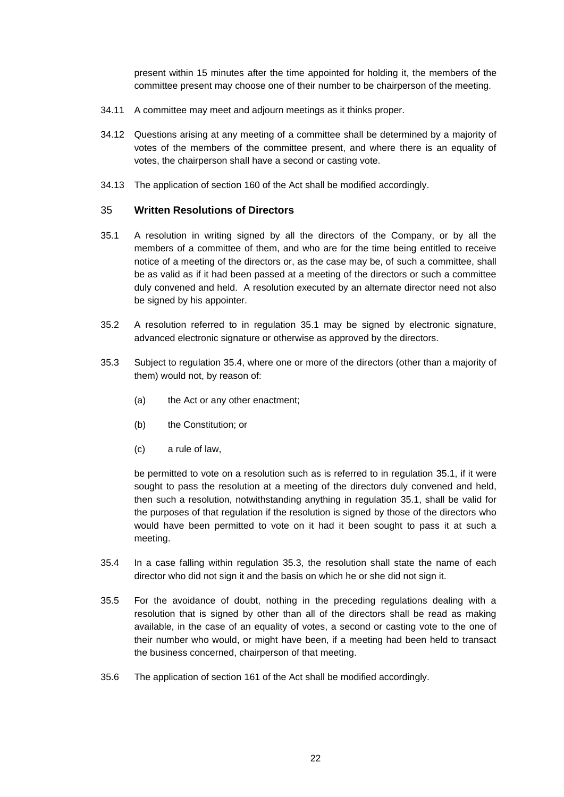present within 15 minutes after the time appointed for holding it, the members of the committee present may choose one of their number to be chairperson of the meeting.

- 34.11 A committee may meet and adjourn meetings as it thinks proper.
- 34.12 Questions arising at any meeting of a committee shall be determined by a majority of votes of the members of the committee present, and where there is an equality of votes, the chairperson shall have a second or casting vote.
- 34.13 The application of section 160 of the Act shall be modified accordingly.

#### <span id="page-24-0"></span>35 **Written Resolutions of Directors**

- <span id="page-24-1"></span>35.1 A resolution in writing signed by all the directors of the Company, or by all the members of a committee of them, and who are for the time being entitled to receive notice of a meeting of the directors or, as the case may be, of such a committee, shall be as valid as if it had been passed at a meeting of the directors or such a committee duly convened and held. A resolution executed by an alternate director need not also be signed by his appointer.
- 35.2 A resolution referred to in regulation [35.1](#page-24-1) may be signed by electronic signature, advanced electronic signature or otherwise as approved by the directors.
- <span id="page-24-3"></span>35.3 Subject to regulation [35.4,](#page-24-2) where one or more of the directors (other than a majority of them) would not, by reason of:
	- (a) the Act or any other enactment;
	- (b) the Constitution; or
	- (c) a rule of law,

be permitted to vote on a resolution such as is referred to in regulation [35.1,](#page-24-1) if it were sought to pass the resolution at a meeting of the directors duly convened and held, then such a resolution, notwithstanding anything in regulation [35.1,](#page-24-1) shall be valid for the purposes of that regulation if the resolution is signed by those of the directors who would have been permitted to vote on it had it been sought to pass it at such a meeting.

- <span id="page-24-2"></span>35.4 In a case falling within regulation [35.3,](#page-24-3) the resolution shall state the name of each director who did not sign it and the basis on which he or she did not sign it.
- 35.5 For the avoidance of doubt, nothing in the preceding regulations dealing with a resolution that is signed by other than all of the directors shall be read as making available, in the case of an equality of votes, a second or casting vote to the one of their number who would, or might have been, if a meeting had been held to transact the business concerned, chairperson of that meeting.
- 35.6 The application of section 161 of the Act shall be modified accordingly.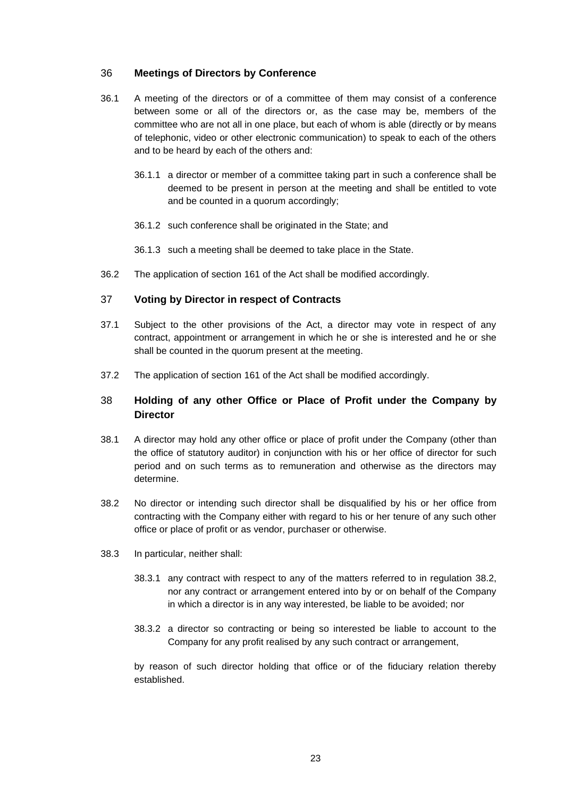## <span id="page-25-0"></span>36 **Meetings of Directors by Conference**

- 36.1 A meeting of the directors or of a committee of them may consist of a conference between some or all of the directors or, as the case may be, members of the committee who are not all in one place, but each of whom is able (directly or by means of telephonic, video or other electronic communication) to speak to each of the others and to be heard by each of the others and:
	- 36.1.1 a director or member of a committee taking part in such a conference shall be deemed to be present in person at the meeting and shall be entitled to vote and be counted in a quorum accordingly;
	- 36.1.2 such conference shall be originated in the State; and
	- 36.1.3 such a meeting shall be deemed to take place in the State.
- 36.2 The application of section 161 of the Act shall be modified accordingly.

#### <span id="page-25-1"></span>37 **Voting by Director in respect of Contracts**

- 37.1 Subject to the other provisions of the Act, a director may vote in respect of any contract, appointment or arrangement in which he or she is interested and he or she shall be counted in the quorum present at the meeting.
- 37.2 The application of section 161 of the Act shall be modified accordingly.

# <span id="page-25-2"></span>38 **Holding of any other Office or Place of Profit under the Company by Director**

- <span id="page-25-4"></span>38.1 A director may hold any other office or place of profit under the Company (other than the office of statutory auditor) in conjunction with his or her office of director for such period and on such terms as to remuneration and otherwise as the directors may determine.
- <span id="page-25-3"></span>38.2 No director or intending such director shall be disqualified by his or her office from contracting with the Company either with regard to his or her tenure of any such other office or place of profit or as vendor, purchaser or otherwise.
- 38.3 In particular, neither shall:
	- 38.3.1 any contract with respect to any of the matters referred to in regulation [38.2,](#page-25-3) nor any contract or arrangement entered into by or on behalf of the Company in which a director is in any way interested, be liable to be avoided; nor
	- 38.3.2 a director so contracting or being so interested be liable to account to the Company for any profit realised by any such contract or arrangement,

by reason of such director holding that office or of the fiduciary relation thereby established.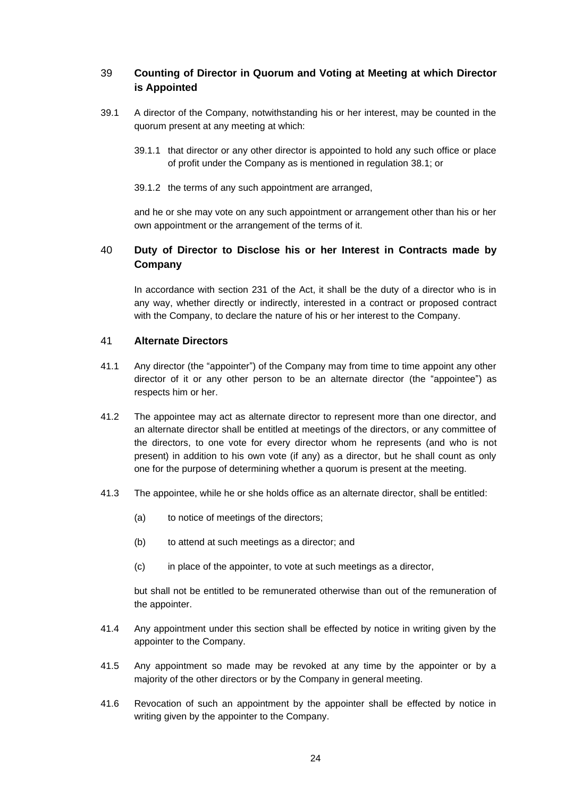# <span id="page-26-0"></span>39 **Counting of Director in Quorum and Voting at Meeting at which Director is Appointed**

- 39.1 A director of the Company, notwithstanding his or her interest, may be counted in the quorum present at any meeting at which:
	- 39.1.1 that director or any other director is appointed to hold any such office or place of profit under the Company as is mentioned in regulation [38.1;](#page-25-4) or
	- 39.1.2 the terms of any such appointment are arranged,

and he or she may vote on any such appointment or arrangement other than his or her own appointment or the arrangement of the terms of it.

# <span id="page-26-1"></span>40 **Duty of Director to Disclose his or her Interest in Contracts made by Company**

In accordance with section 231 of the Act, it shall be the duty of a director who is in any way, whether directly or indirectly, interested in a contract or proposed contract with the Company, to declare the nature of his or her interest to the Company.

## <span id="page-26-2"></span>41 **Alternate Directors**

- 41.1 Any director (the "appointer") of the Company may from time to time appoint any other director of it or any other person to be an alternate director (the "appointee") as respects him or her.
- 41.2 The appointee may act as alternate director to represent more than one director, and an alternate director shall be entitled at meetings of the directors, or any committee of the directors, to one vote for every director whom he represents (and who is not present) in addition to his own vote (if any) as a director, but he shall count as only one for the purpose of determining whether a quorum is present at the meeting.
- 41.3 The appointee, while he or she holds office as an alternate director, shall be entitled:
	- (a) to notice of meetings of the directors;
	- (b) to attend at such meetings as a director; and
	- (c) in place of the appointer, to vote at such meetings as a director,

but shall not be entitled to be remunerated otherwise than out of the remuneration of the appointer.

- 41.4 Any appointment under this section shall be effected by notice in writing given by the appointer to the Company.
- 41.5 Any appointment so made may be revoked at any time by the appointer or by a majority of the other directors or by the Company in general meeting.
- 41.6 Revocation of such an appointment by the appointer shall be effected by notice in writing given by the appointer to the Company.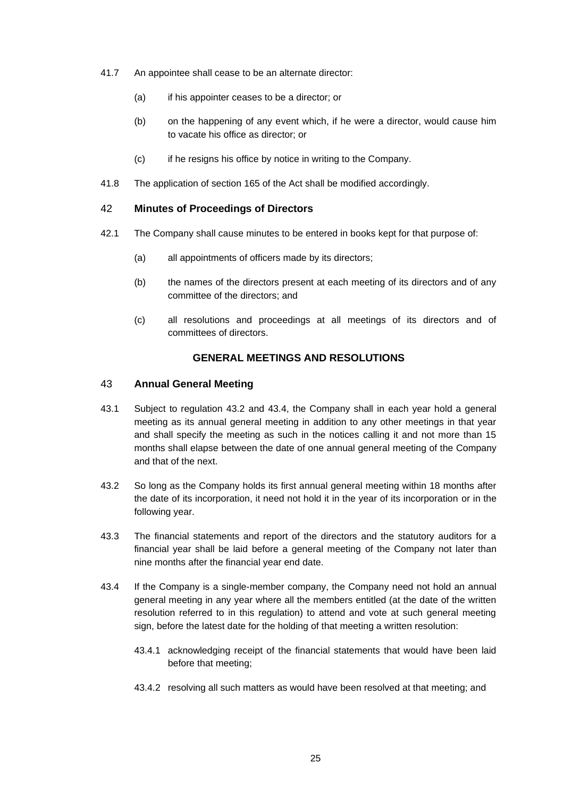- 41.7 An appointee shall cease to be an alternate director:
	- (a) if his appointer ceases to be a director; or
	- (b) on the happening of any event which, if he were a director, would cause him to vacate his office as director; or
	- (c) if he resigns his office by notice in writing to the Company.
- 41.8 The application of section 165 of the Act shall be modified accordingly.

#### <span id="page-27-0"></span>42 **Minutes of Proceedings of Directors**

- 42.1 The Company shall cause minutes to be entered in books kept for that purpose of:
	- (a) all appointments of officers made by its directors;
	- (b) the names of the directors present at each meeting of its directors and of any committee of the directors; and
	- (c) all resolutions and proceedings at all meetings of its directors and of committees of directors.

## **GENERAL MEETINGS AND RESOLUTIONS**

#### <span id="page-27-2"></span><span id="page-27-1"></span>43 **Annual General Meeting**

- 43.1 Subject to regulation [43.2](#page-27-3) and [43.4,](#page-27-4) the Company shall in each year hold a general meeting as its annual general meeting in addition to any other meetings in that year and shall specify the meeting as such in the notices calling it and not more than 15 months shall elapse between the date of one annual general meeting of the Company and that of the next.
- <span id="page-27-3"></span>43.2 So long as the Company holds its first annual general meeting within 18 months after the date of its incorporation, it need not hold it in the year of its incorporation or in the following year.
- 43.3 The financial statements and report of the directors and the statutory auditors for a financial year shall be laid before a general meeting of the Company not later than nine months after the financial year end date.
- <span id="page-27-4"></span>43.4 If the Company is a single-member company, the Company need not hold an annual general meeting in any year where all the members entitled (at the date of the written resolution referred to in this regulation) to attend and vote at such general meeting sign, before the latest date for the holding of that meeting a written resolution:
	- 43.4.1 acknowledging receipt of the financial statements that would have been laid before that meeting;
	- 43.4.2 resolving all such matters as would have been resolved at that meeting; and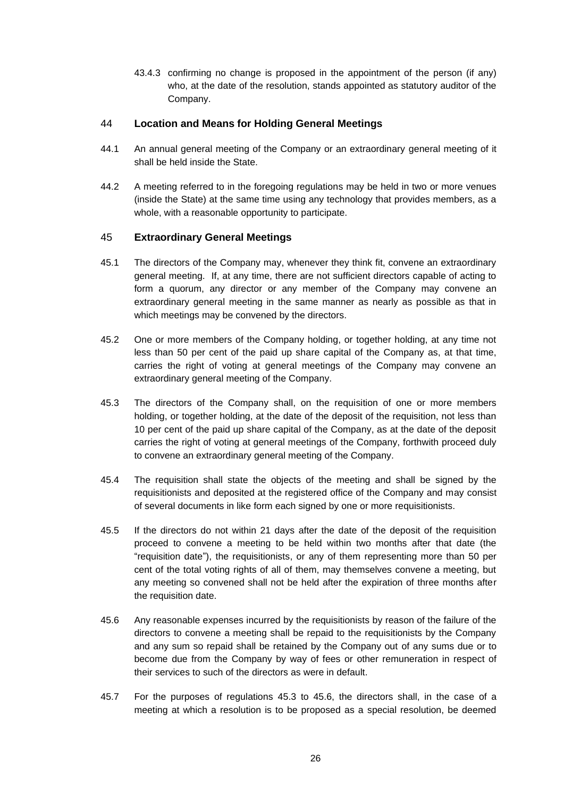43.4.3 confirming no change is proposed in the appointment of the person (if any) who, at the date of the resolution, stands appointed as statutory auditor of the Company.

### <span id="page-28-0"></span>44 **Location and Means for Holding General Meetings**

- 44.1 An annual general meeting of the Company or an extraordinary general meeting of it shall be held inside the State.
- 44.2 A meeting referred to in the foregoing regulations may be held in two or more venues (inside the State) at the same time using any technology that provides members, as a whole, with a reasonable opportunity to participate.

## <span id="page-28-1"></span>45 **Extraordinary General Meetings**

- 45.1 The directors of the Company may, whenever they think fit, convene an extraordinary general meeting. If, at any time, there are not sufficient directors capable of acting to form a quorum, any director or any member of the Company may convene an extraordinary general meeting in the same manner as nearly as possible as that in which meetings may be convened by the directors.
- <span id="page-28-4"></span>45.2 One or more members of the Company holding, or together holding, at any time not less than 50 per cent of the paid up share capital of the Company as, at that time, carries the right of voting at general meetings of the Company may convene an extraordinary general meeting of the Company.
- <span id="page-28-2"></span>45.3 The directors of the Company shall, on the requisition of one or more members holding, or together holding, at the date of the deposit of the requisition, not less than 10 per cent of the paid up share capital of the Company, as at the date of the deposit carries the right of voting at general meetings of the Company, forthwith proceed duly to convene an extraordinary general meeting of the Company.
- 45.4 The requisition shall state the objects of the meeting and shall be signed by the requisitionists and deposited at the registered office of the Company and may consist of several documents in like form each signed by one or more requisitionists.
- <span id="page-28-5"></span>45.5 If the directors do not within 21 days after the date of the deposit of the requisition proceed to convene a meeting to be held within two months after that date (the "requisition date"), the requisitionists, or any of them representing more than 50 per cent of the total voting rights of all of them, may themselves convene a meeting, but any meeting so convened shall not be held after the expiration of three months after the requisition date.
- <span id="page-28-3"></span>45.6 Any reasonable expenses incurred by the requisitionists by reason of the failure of the directors to convene a meeting shall be repaid to the requisitionists by the Company and any sum so repaid shall be retained by the Company out of any sums due or to become due from the Company by way of fees or other remuneration in respect of their services to such of the directors as were in default.
- 45.7 For the purposes of regulations [45.3](#page-28-2) to [45.6,](#page-28-3) the directors shall, in the case of a meeting at which a resolution is to be proposed as a special resolution, be deemed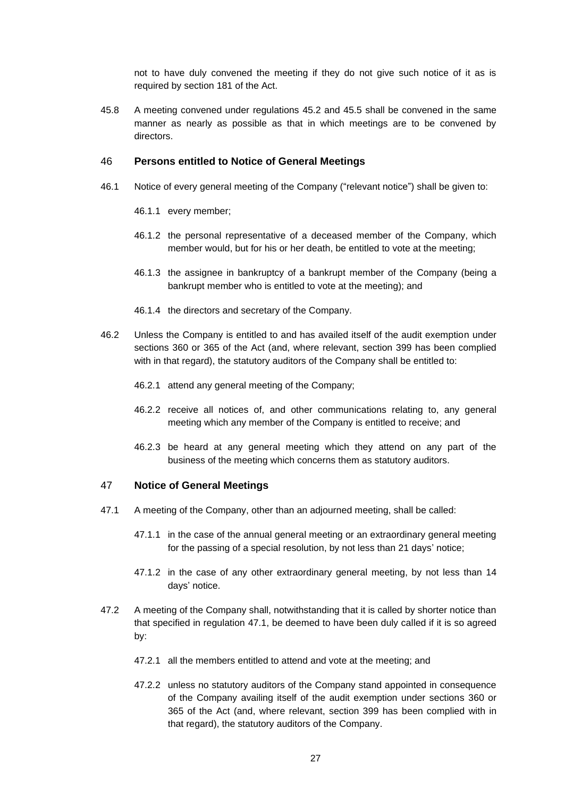not to have duly convened the meeting if they do not give such notice of it as is required by section 181 of the Act.

45.8 A meeting convened under regulations [45.2](#page-28-4) and [45.5](#page-28-5) shall be convened in the same manner as nearly as possible as that in which meetings are to be convened by directors.

#### <span id="page-29-0"></span>46 **Persons entitled to Notice of General Meetings**

- 46.1 Notice of every general meeting of the Company ("relevant notice") shall be given to:
	- 46.1.1 every member;
	- 46.1.2 the personal representative of a deceased member of the Company, which member would, but for his or her death, be entitled to vote at the meeting;
	- 46.1.3 the assignee in bankruptcy of a bankrupt member of the Company (being a bankrupt member who is entitled to vote at the meeting); and
	- 46.1.4 the directors and secretary of the Company.
- 46.2 Unless the Company is entitled to and has availed itself of the audit exemption under sections 360 or 365 of the Act (and, where relevant, section 399 has been complied with in that regard), the statutory auditors of the Company shall be entitled to:
	- 46.2.1 attend any general meeting of the Company;
	- 46.2.2 receive all notices of, and other communications relating to, any general meeting which any member of the Company is entitled to receive; and
	- 46.2.3 be heard at any general meeting which they attend on any part of the business of the meeting which concerns them as statutory auditors.

#### <span id="page-29-1"></span>47 **Notice of General Meetings**

- <span id="page-29-2"></span>47.1 A meeting of the Company, other than an adjourned meeting, shall be called:
	- 47.1.1 in the case of the annual general meeting or an extraordinary general meeting for the passing of a special resolution, by not less than 21 days' notice;
	- 47.1.2 in the case of any other extraordinary general meeting, by not less than 14 days' notice.
- 47.2 A meeting of the Company shall, notwithstanding that it is called by shorter notice than that specified in regulation [47.1,](#page-29-2) be deemed to have been duly called if it is so agreed by:
	- 47.2.1 all the members entitled to attend and vote at the meeting; and
	- 47.2.2 unless no statutory auditors of the Company stand appointed in consequence of the Company availing itself of the audit exemption under sections 360 or 365 of the Act (and, where relevant, section 399 has been complied with in that regard), the statutory auditors of the Company.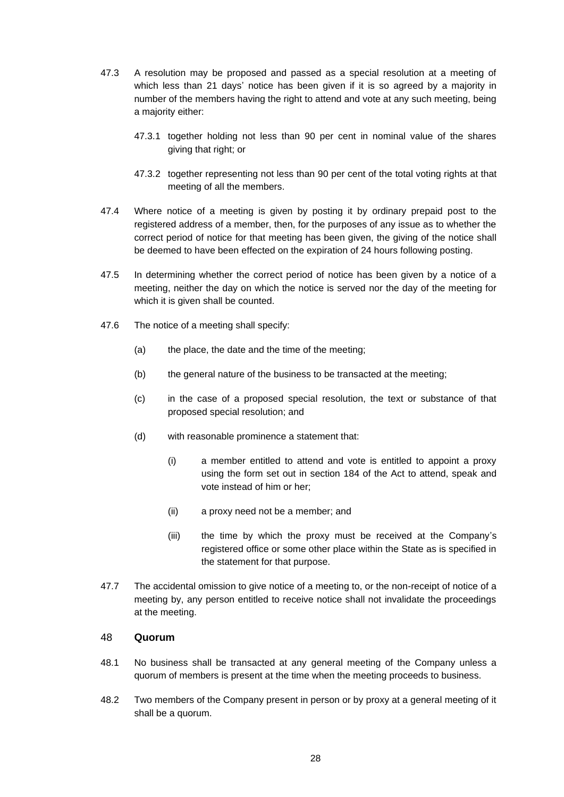- 47.3 A resolution may be proposed and passed as a special resolution at a meeting of which less than 21 days' notice has been given if it is so agreed by a majority in number of the members having the right to attend and vote at any such meeting, being a majority either:
	- 47.3.1 together holding not less than 90 per cent in nominal value of the shares giving that right; or
	- 47.3.2 together representing not less than 90 per cent of the total voting rights at that meeting of all the members.
- 47.4 Where notice of a meeting is given by posting it by ordinary prepaid post to the registered address of a member, then, for the purposes of any issue as to whether the correct period of notice for that meeting has been given, the giving of the notice shall be deemed to have been effected on the expiration of 24 hours following posting.
- 47.5 In determining whether the correct period of notice has been given by a notice of a meeting, neither the day on which the notice is served nor the day of the meeting for which it is given shall be counted.
- 47.6 The notice of a meeting shall specify:
	- (a) the place, the date and the time of the meeting;
	- (b) the general nature of the business to be transacted at the meeting;
	- (c) in the case of a proposed special resolution, the text or substance of that proposed special resolution; and
	- (d) with reasonable prominence a statement that:
		- (i) a member entitled to attend and vote is entitled to appoint a proxy using the form set out in section 184 of the Act to attend, speak and vote instead of him or her;
		- (ii) a proxy need not be a member; and
		- (iii) the time by which the proxy must be received at the Company's registered office or some other place within the State as is specified in the statement for that purpose.
- 47.7 The accidental omission to give notice of a meeting to, or the non-receipt of notice of a meeting by, any person entitled to receive notice shall not invalidate the proceedings at the meeting.

# <span id="page-30-0"></span>48 **Quorum**

- 48.1 No business shall be transacted at any general meeting of the Company unless a quorum of members is present at the time when the meeting proceeds to business.
- 48.2 Two members of the Company present in person or by proxy at a general meeting of it shall be a quorum.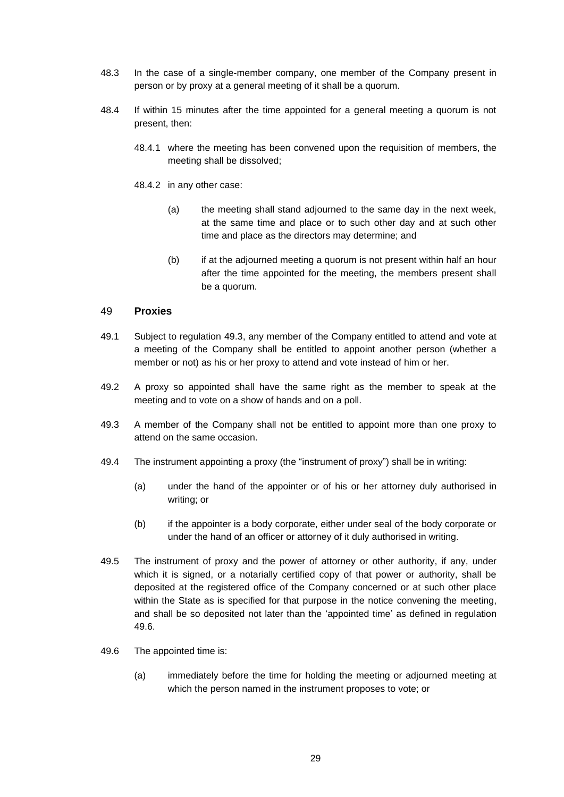- 48.3 In the case of a single-member company, one member of the Company present in person or by proxy at a general meeting of it shall be a quorum.
- 48.4 If within 15 minutes after the time appointed for a general meeting a quorum is not present, then:
	- 48.4.1 where the meeting has been convened upon the requisition of members, the meeting shall be dissolved;
	- 48.4.2 in any other case:
		- (a) the meeting shall stand adjourned to the same day in the next week, at the same time and place or to such other day and at such other time and place as the directors may determine; and
		- (b) if at the adjourned meeting a quorum is not present within half an hour after the time appointed for the meeting, the members present shall be a quorum.

#### <span id="page-31-0"></span>49 **Proxies**

- 49.1 Subject to regulation [49.3,](#page-31-1) any member of the Company entitled to attend and vote at a meeting of the Company shall be entitled to appoint another person (whether a member or not) as his or her proxy to attend and vote instead of him or her.
- 49.2 A proxy so appointed shall have the same right as the member to speak at the meeting and to vote on a show of hands and on a poll.
- <span id="page-31-1"></span>49.3 A member of the Company shall not be entitled to appoint more than one proxy to attend on the same occasion.
- 49.4 The instrument appointing a proxy (the "instrument of proxy") shall be in writing:
	- (a) under the hand of the appointer or of his or her attorney duly authorised in writing; or
	- (b) if the appointer is a body corporate, either under seal of the body corporate or under the hand of an officer or attorney of it duly authorised in writing.
- <span id="page-31-3"></span>49.5 The instrument of proxy and the power of attorney or other authority, if any, under which it is signed, or a notarially certified copy of that power or authority, shall be deposited at the registered office of the Company concerned or at such other place within the State as is specified for that purpose in the notice convening the meeting, and shall be so deposited not later than the 'appointed time' as defined in regulation [49.6.](#page-31-2)
- <span id="page-31-2"></span>49.6 The appointed time is:
	- (a) immediately before the time for holding the meeting or adjourned meeting at which the person named in the instrument proposes to vote; or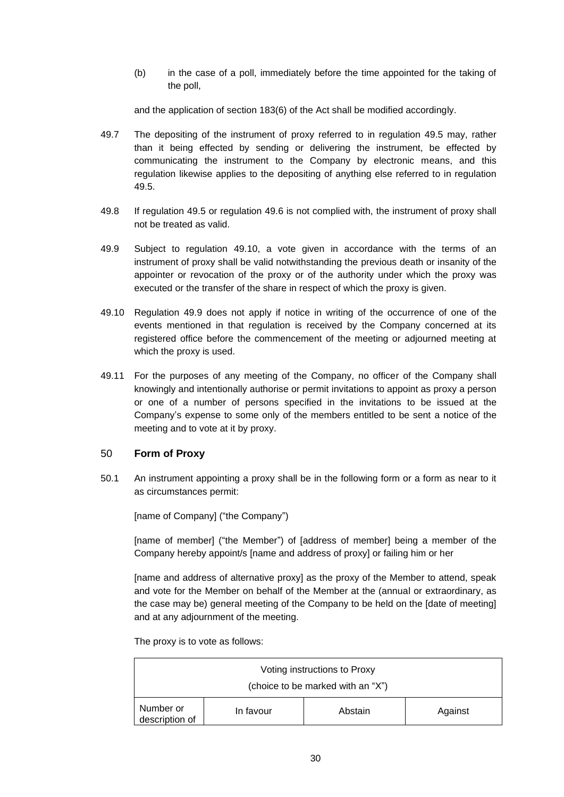(b) in the case of a poll, immediately before the time appointed for the taking of the poll,

and the application of section 183(6) of the Act shall be modified accordingly.

- 49.7 The depositing of the instrument of proxy referred to in regulation [49.5](#page-31-3) may, rather than it being effected by sending or delivering the instrument, be effected by communicating the instrument to the Company by electronic means, and this regulation likewise applies to the depositing of anything else referred to in regulation [49.5.](#page-31-3)
- 49.8 If regulation [49.5](#page-31-3) or regulation [49.6](#page-31-2) is not complied with, the instrument of proxy shall not be treated as valid.
- <span id="page-32-2"></span>49.9 Subject to regulation [49.10,](#page-32-1) a vote given in accordance with the terms of an instrument of proxy shall be valid notwithstanding the previous death or insanity of the appointer or revocation of the proxy or of the authority under which the proxy was executed or the transfer of the share in respect of which the proxy is given.
- <span id="page-32-1"></span>49.10 Regulation [49.9](#page-32-2) does not apply if notice in writing of the occurrence of one of the events mentioned in that regulation is received by the Company concerned at its registered office before the commencement of the meeting or adjourned meeting at which the proxy is used.
- 49.11 For the purposes of any meeting of the Company, no officer of the Company shall knowingly and intentionally authorise or permit invitations to appoint as proxy a person or one of a number of persons specified in the invitations to be issued at the Company's expense to some only of the members entitled to be sent a notice of the meeting and to vote at it by proxy.

# <span id="page-32-0"></span>50 **Form of Proxy**

50.1 An instrument appointing a proxy shall be in the following form or a form as near to it as circumstances permit:

[name of Company] ("the Company")

[name of member] ("the Member") of [address of member] being a member of the Company hereby appoint/s [name and address of proxy] or failing him or her

[name and address of alternative proxy] as the proxy of the Member to attend, speak and vote for the Member on behalf of the Member at the (annual or extraordinary, as the case may be) general meeting of the Company to be held on the [date of meeting] and at any adjournment of the meeting.

The proxy is to vote as follows:

| Voting instructions to Proxy      |           |         |         |  |  |
|-----------------------------------|-----------|---------|---------|--|--|
| (choice to be marked with an "X") |           |         |         |  |  |
| Number or<br>description of       | In favour | Abstain | Against |  |  |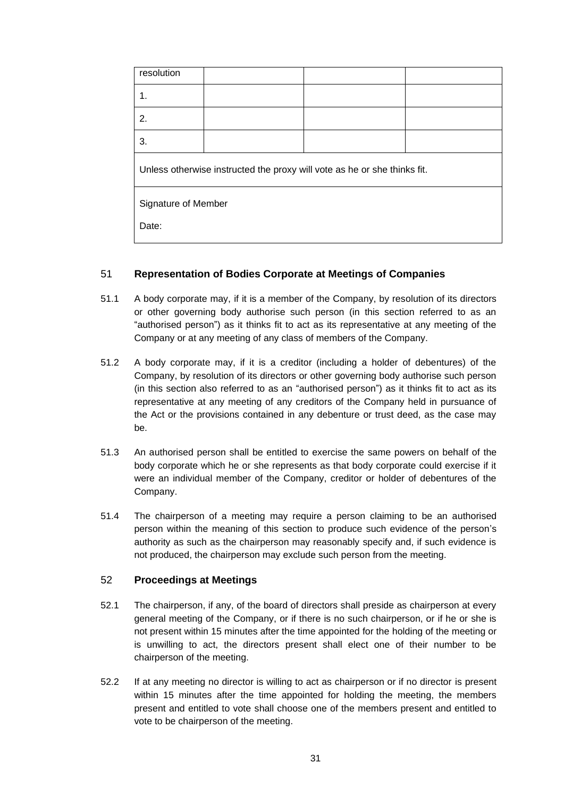| resolution                                                               |  |  |  |  |
|--------------------------------------------------------------------------|--|--|--|--|
| 1.                                                                       |  |  |  |  |
| 2.                                                                       |  |  |  |  |
| 3.                                                                       |  |  |  |  |
| Unless otherwise instructed the proxy will vote as he or she thinks fit. |  |  |  |  |
| Signature of Member                                                      |  |  |  |  |
| Date:                                                                    |  |  |  |  |

# <span id="page-33-0"></span>51 **Representation of Bodies Corporate at Meetings of Companies**

- 51.1 A body corporate may, if it is a member of the Company, by resolution of its directors or other governing body authorise such person (in this section referred to as an "authorised person") as it thinks fit to act as its representative at any meeting of the Company or at any meeting of any class of members of the Company.
- 51.2 A body corporate may, if it is a creditor (including a holder of debentures) of the Company, by resolution of its directors or other governing body authorise such person (in this section also referred to as an "authorised person") as it thinks fit to act as its representative at any meeting of any creditors of the Company held in pursuance of the Act or the provisions contained in any debenture or trust deed, as the case may be.
- 51.3 An authorised person shall be entitled to exercise the same powers on behalf of the body corporate which he or she represents as that body corporate could exercise if it were an individual member of the Company, creditor or holder of debentures of the Company.
- 51.4 The chairperson of a meeting may require a person claiming to be an authorised person within the meaning of this section to produce such evidence of the person's authority as such as the chairperson may reasonably specify and, if such evidence is not produced, the chairperson may exclude such person from the meeting.

# <span id="page-33-1"></span>52 **Proceedings at Meetings**

- 52.1 The chairperson, if any, of the board of directors shall preside as chairperson at every general meeting of the Company, or if there is no such chairperson, or if he or she is not present within 15 minutes after the time appointed for the holding of the meeting or is unwilling to act, the directors present shall elect one of their number to be chairperson of the meeting.
- 52.2 If at any meeting no director is willing to act as chairperson or if no director is present within 15 minutes after the time appointed for holding the meeting, the members present and entitled to vote shall choose one of the members present and entitled to vote to be chairperson of the meeting.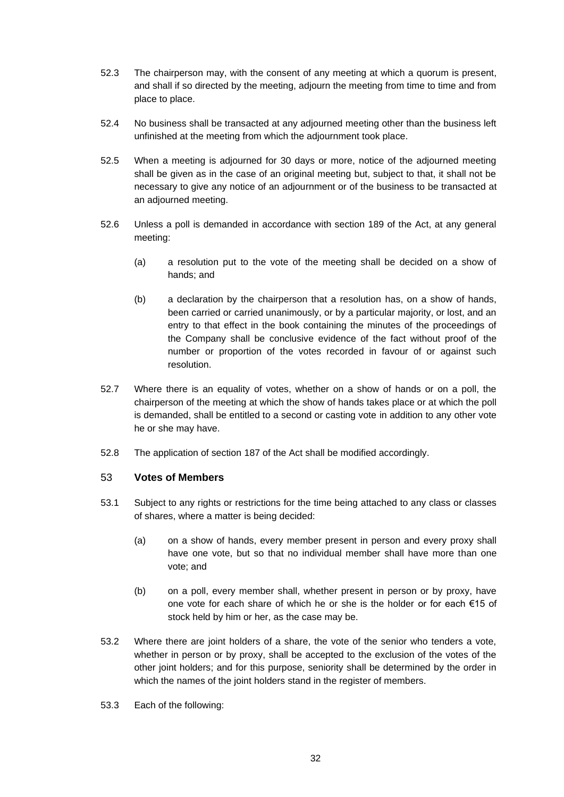- 52.3 The chairperson may, with the consent of any meeting at which a quorum is present, and shall if so directed by the meeting, adjourn the meeting from time to time and from place to place.
- 52.4 No business shall be transacted at any adjourned meeting other than the business left unfinished at the meeting from which the adjournment took place.
- 52.5 When a meeting is adjourned for 30 days or more, notice of the adjourned meeting shall be given as in the case of an original meeting but, subject to that, it shall not be necessary to give any notice of an adjournment or of the business to be transacted at an adjourned meeting.
- 52.6 Unless a poll is demanded in accordance with section 189 of the Act, at any general meeting:
	- (a) a resolution put to the vote of the meeting shall be decided on a show of hands; and
	- (b) a declaration by the chairperson that a resolution has, on a show of hands, been carried or carried unanimously, or by a particular majority, or lost, and an entry to that effect in the book containing the minutes of the proceedings of the Company shall be conclusive evidence of the fact without proof of the number or proportion of the votes recorded in favour of or against such resolution.
- 52.7 Where there is an equality of votes, whether on a show of hands or on a poll, the chairperson of the meeting at which the show of hands takes place or at which the poll is demanded, shall be entitled to a second or casting vote in addition to any other vote he or she may have.
- 52.8 The application of section 187 of the Act shall be modified accordingly.

#### <span id="page-34-0"></span>53 **Votes of Members**

- 53.1 Subject to any rights or restrictions for the time being attached to any class or classes of shares, where a matter is being decided:
	- (a) on a show of hands, every member present in person and every proxy shall have one vote, but so that no individual member shall have more than one vote; and
	- (b) on a poll, every member shall, whether present in person or by proxy, have one vote for each share of which he or she is the holder or for each €15 of stock held by him or her, as the case may be.
- 53.2 Where there are joint holders of a share, the vote of the senior who tenders a vote, whether in person or by proxy, shall be accepted to the exclusion of the votes of the other joint holders; and for this purpose, seniority shall be determined by the order in which the names of the joint holders stand in the register of members.
- 53.3 Each of the following: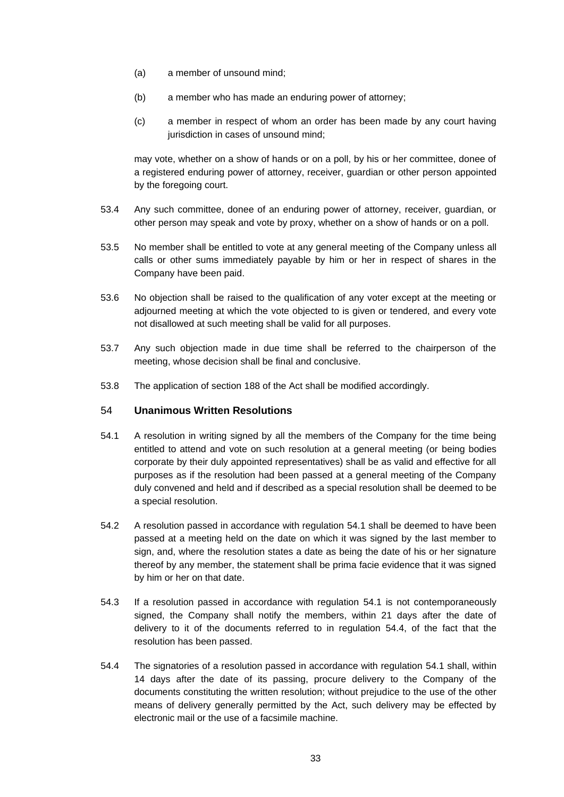- (a) a member of unsound mind;
- (b) a member who has made an enduring power of attorney;
- (c) a member in respect of whom an order has been made by any court having jurisdiction in cases of unsound mind;

may vote, whether on a show of hands or on a poll, by his or her committee, donee of a registered enduring power of attorney, receiver, guardian or other person appointed by the foregoing court.

- 53.4 Any such committee, donee of an enduring power of attorney, receiver, guardian, or other person may speak and vote by proxy, whether on a show of hands or on a poll.
- 53.5 No member shall be entitled to vote at any general meeting of the Company unless all calls or other sums immediately payable by him or her in respect of shares in the Company have been paid.
- 53.6 No objection shall be raised to the qualification of any voter except at the meeting or adjourned meeting at which the vote objected to is given or tendered, and every vote not disallowed at such meeting shall be valid for all purposes.
- 53.7 Any such objection made in due time shall be referred to the chairperson of the meeting, whose decision shall be final and conclusive.
- 53.8 The application of section 188 of the Act shall be modified accordingly.

## <span id="page-35-0"></span>54 **Unanimous Written Resolutions**

- <span id="page-35-1"></span>54.1 A resolution in writing signed by all the members of the Company for the time being entitled to attend and vote on such resolution at a general meeting (or being bodies corporate by their duly appointed representatives) shall be as valid and effective for all purposes as if the resolution had been passed at a general meeting of the Company duly convened and held and if described as a special resolution shall be deemed to be a special resolution.
- 54.2 A resolution passed in accordance with regulation [54.1](#page-35-1) shall be deemed to have been passed at a meeting held on the date on which it was signed by the last member to sign, and, where the resolution states a date as being the date of his or her signature thereof by any member, the statement shall be prima facie evidence that it was signed by him or her on that date.
- 54.3 If a resolution passed in accordance with regulation [54.1](#page-35-1) is not contemporaneously signed, the Company shall notify the members, within 21 days after the date of delivery to it of the documents referred to in regulation [54.4,](#page-35-2) of the fact that the resolution has been passed.
- <span id="page-35-2"></span>54.4 The signatories of a resolution passed in accordance with regulation [54.1](#page-35-1) shall, within 14 days after the date of its passing, procure delivery to the Company of the documents constituting the written resolution; without prejudice to the use of the other means of delivery generally permitted by the Act, such delivery may be effected by electronic mail or the use of a facsimile machine.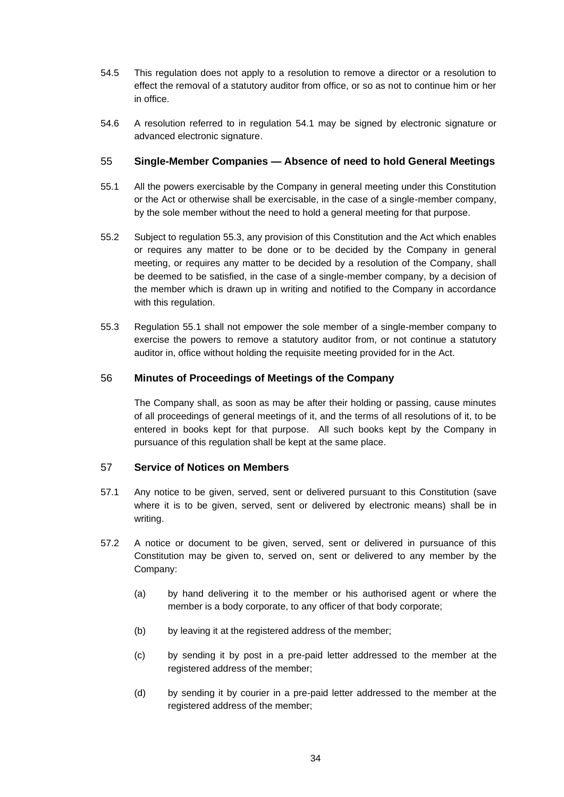- 54.5 This regulation does not apply to a resolution to remove a director or a resolution to effect the removal of a statutory auditor from office, or so as not to continue him or her in office.
- 54.6 A resolution referred to in regulation [54.1](#page-35-1) may be signed by electronic signature or advanced electronic signature.

# <span id="page-36-0"></span>55 **Single-Member Companies — Absence of need to hold General Meetings**

- <span id="page-36-4"></span>55.1 All the powers exercisable by the Company in general meeting under this Constitution or the Act or otherwise shall be exercisable, in the case of a single-member company, by the sole member without the need to hold a general meeting for that purpose.
- 55.2 Subject to regulation [55.3,](#page-36-3) any provision of this Constitution and the Act which enables or requires any matter to be done or to be decided by the Company in general meeting, or requires any matter to be decided by a resolution of the Company, shall be deemed to be satisfied, in the case of a single-member company, by a decision of the member which is drawn up in writing and notified to the Company in accordance with this regulation.
- <span id="page-36-3"></span>55.3 Regulation [55.1](#page-36-4) shall not empower the sole member of a single-member company to exercise the powers to remove a statutory auditor from, or not continue a statutory auditor in, office without holding the requisite meeting provided for in the Act.

# <span id="page-36-1"></span>56 **Minutes of Proceedings of Meetings of the Company**

The Company shall, as soon as may be after their holding or passing, cause minutes of all proceedings of general meetings of it, and the terms of all resolutions of it, to be entered in books kept for that purpose. All such books kept by the Company in pursuance of this regulation shall be kept at the same place.

# <span id="page-36-2"></span>57 **Service of Notices on Members**

- 57.1 Any notice to be given, served, sent or delivered pursuant to this Constitution (save where it is to be given, served, sent or delivered by electronic means) shall be in writing.
- 57.2 A notice or document to be given, served, sent or delivered in pursuance of this Constitution may be given to, served on, sent or delivered to any member by the Company:
	- (a) by hand delivering it to the member or his authorised agent or where the member is a body corporate, to any officer of that body corporate;
	- (b) by leaving it at the registered address of the member;
	- (c) by sending it by post in a pre-paid letter addressed to the member at the registered address of the member;
	- (d) by sending it by courier in a pre-paid letter addressed to the member at the registered address of the member;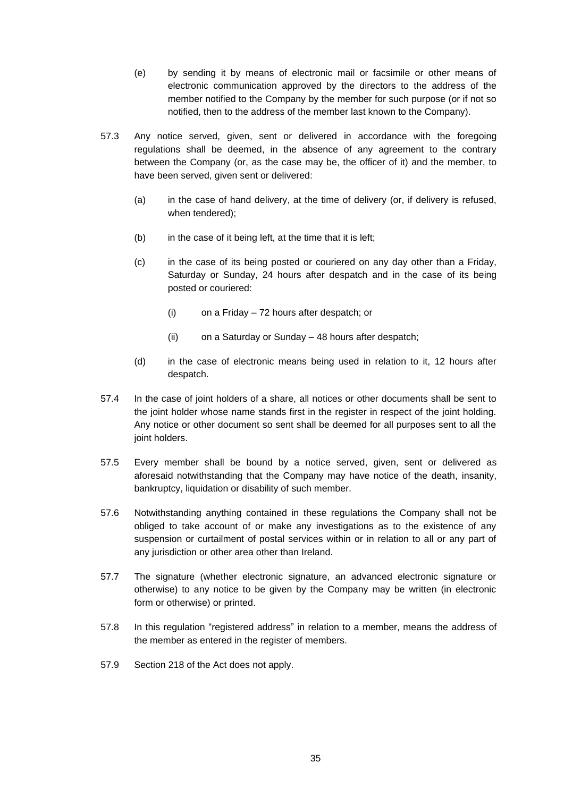- (e) by sending it by means of electronic mail or facsimile or other means of electronic communication approved by the directors to the address of the member notified to the Company by the member for such purpose (or if not so notified, then to the address of the member last known to the Company).
- 57.3 Any notice served, given, sent or delivered in accordance with the foregoing regulations shall be deemed, in the absence of any agreement to the contrary between the Company (or, as the case may be, the officer of it) and the member, to have been served, given sent or delivered:
	- (a) in the case of hand delivery, at the time of delivery (or, if delivery is refused, when tendered);
	- (b) in the case of it being left, at the time that it is left;
	- (c) in the case of its being posted or couriered on any day other than a Friday, Saturday or Sunday, 24 hours after despatch and in the case of its being posted or couriered:
		- (i) on a Friday 72 hours after despatch; or
		- (ii) on a Saturday or Sunday 48 hours after despatch;
	- (d) in the case of electronic means being used in relation to it, 12 hours after despatch.
- 57.4 In the case of joint holders of a share, all notices or other documents shall be sent to the joint holder whose name stands first in the register in respect of the joint holding. Any notice or other document so sent shall be deemed for all purposes sent to all the joint holders.
- 57.5 Every member shall be bound by a notice served, given, sent or delivered as aforesaid notwithstanding that the Company may have notice of the death, insanity, bankruptcy, liquidation or disability of such member.
- 57.6 Notwithstanding anything contained in these regulations the Company shall not be obliged to take account of or make any investigations as to the existence of any suspension or curtailment of postal services within or in relation to all or any part of any jurisdiction or other area other than Ireland.
- 57.7 The signature (whether electronic signature, an advanced electronic signature or otherwise) to any notice to be given by the Company may be written (in electronic form or otherwise) or printed.
- 57.8 In this regulation "registered address" in relation to a member, means the address of the member as entered in the register of members.
- 57.9 Section 218 of the Act does not apply.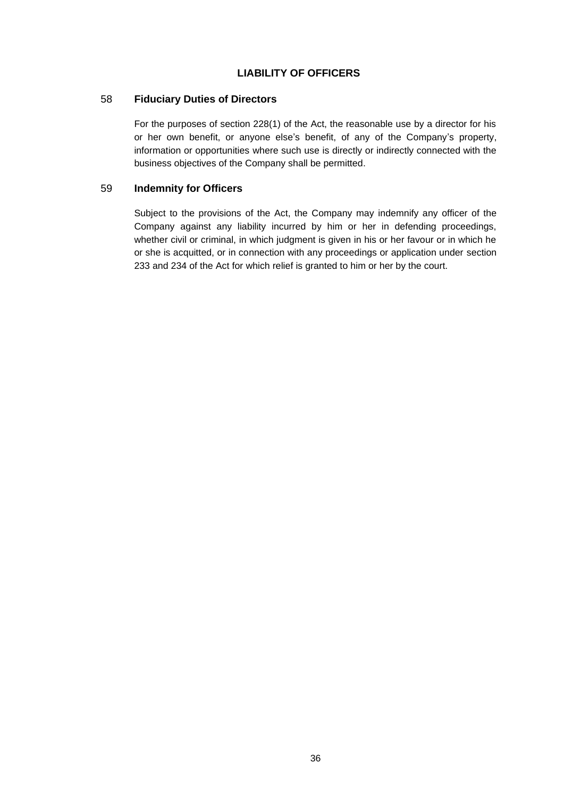# **LIABILITY OF OFFICERS**

### <span id="page-38-1"></span><span id="page-38-0"></span>58 **Fiduciary Duties of Directors**

For the purposes of section 228(1) of the Act, the reasonable use by a director for his or her own benefit, or anyone else's benefit, of any of the Company's property, information or opportunities where such use is directly or indirectly connected with the business objectives of the Company shall be permitted.

## <span id="page-38-2"></span>59 **Indemnity for Officers**

Subject to the provisions of the Act, the Company may indemnify any officer of the Company against any liability incurred by him or her in defending proceedings, whether civil or criminal, in which judgment is given in his or her favour or in which he or she is acquitted, or in connection with any proceedings or application under section 233 and 234 of the Act for which relief is granted to him or her by the court.